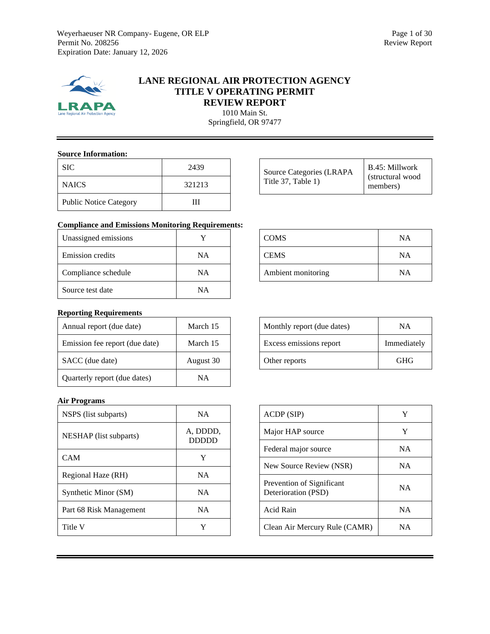

# **LANE REGIONAL AIR PROTECTION AGENCY TITLE V OPERATING PERMIT REVIEW REPORT**

1010 Main St. Springfield, OR 97477

#### **Source Information:**

| <b>SIC</b>                    | 2439   |
|-------------------------------|--------|
| <b>NAICS</b>                  | 321213 |
| <b>Public Notice Category</b> | ,,,    |

| Source Categories (LRAPA)<br>Title 37, Table 1) | B.45: Millwork<br>(structural wood<br>members) |
|-------------------------------------------------|------------------------------------------------|
|-------------------------------------------------|------------------------------------------------|

# **Compliance and Emissions Monitoring Requirements:**

| Unassigned emissions    |    |
|-------------------------|----|
| <b>Emission</b> credits | ΝA |
| Compliance schedule     | NΑ |
| Source test date        | NΑ |

# COMS NA CEMS NA Ambient monitoring NA

# **Reporting Requirements**

| Annual report (due date)       | March 15  |
|--------------------------------|-----------|
| Emission fee report (due date) | March 15  |
| SACC (due date)                | August 30 |
| Quarterly report (due dates)   | <b>NA</b> |

#### **Air Programs**

| NSPS (list subparts)    | <b>NA</b>                |
|-------------------------|--------------------------|
| NESHAP (list subparts)  | A, DDDD,<br><b>DDDDD</b> |
| <b>CAM</b>              | Y                        |
| Regional Haze (RH)      | <b>NA</b>                |
| Synthetic Minor (SM)    | <b>NA</b>                |
| Part 68 Risk Management | <b>NA</b>                |
| Title V                 | Y                        |

| Monthly report (due dates) | ΝA          |
|----------------------------|-------------|
| Excess emissions report    | Immediately |
| Other reports              | GHG         |

| ACDP(SIP)                                        | Y         |
|--------------------------------------------------|-----------|
| Major HAP source                                 | Y         |
| Federal major source                             | <b>NA</b> |
| New Source Review (NSR)                          | <b>NA</b> |
| Prevention of Significant<br>Deterioration (PSD) | <b>NA</b> |
| Acid Rain                                        | <b>NA</b> |
| Clean Air Mercury Rule (CAMR)                    | NА        |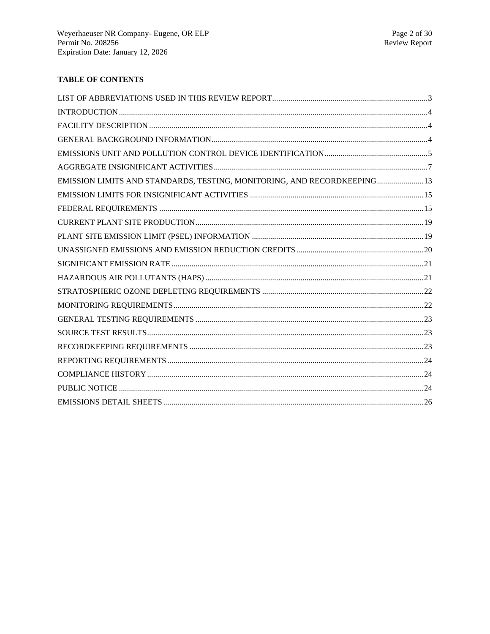# **TABLE OF CONTENTS**

| EMISSION LIMITS AND STANDARDS, TESTING, MONITORING, AND RECORDKEEPING 13 |  |
|--------------------------------------------------------------------------|--|
|                                                                          |  |
|                                                                          |  |
|                                                                          |  |
|                                                                          |  |
|                                                                          |  |
|                                                                          |  |
|                                                                          |  |
|                                                                          |  |
|                                                                          |  |
|                                                                          |  |
|                                                                          |  |
|                                                                          |  |
|                                                                          |  |
|                                                                          |  |
|                                                                          |  |
|                                                                          |  |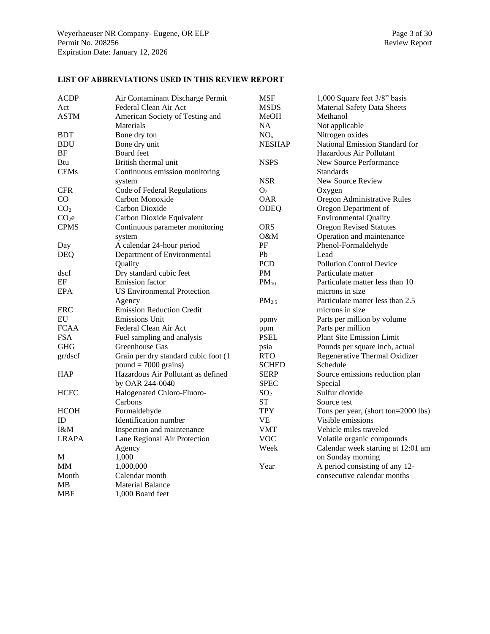# <span id="page-2-0"></span>**LIST OF ABBREVIATIONS USED IN THIS REVIEW REPORT**

| <b>ACDP</b>       | Air Contaminant Discharge Permit     | <b>MSF</b>        | 1,000 Square feet 3/8" basis        |
|-------------------|--------------------------------------|-------------------|-------------------------------------|
| Act               | Federal Clean Air Act                | MSDS              | <b>Material Safety Data Sheets</b>  |
| ASTM              | American Society of Testing and      | MeOH              | Methanol                            |
|                   | Materials                            | NA                | Not applicable                      |
| <b>BDT</b>        | Bone dry ton                         | NO <sub>x</sub>   | Nitrogen oxides                     |
| <b>BDU</b>        | Bone dry unit                        | <b>NESHAP</b>     | National Emission Standard for      |
| BF                | <b>Board</b> feet                    |                   | Hazardous Air Pollutant             |
| Btu               | British thermal unit                 | <b>NSPS</b>       | New Source Performance              |
| <b>CEMs</b>       | Continuous emission monitoring       |                   | <b>Standards</b>                    |
|                   | system                               | <b>NSR</b>        | New Source Review                   |
| <b>CFR</b>        | Code of Federal Regulations          | O <sub>2</sub>    | Oxygen                              |
| CO                | Carbon Monoxide                      | <b>OAR</b>        | Oregon Administrative Rules         |
| CO <sub>2</sub>   | Carbon Dioxide                       | <b>ODEQ</b>       | Oregon Department of                |
| CO <sub>2</sub> e | Carbon Dioxide Equivalent            |                   | <b>Environmental Quality</b>        |
| <b>CPMS</b>       | Continuous parameter monitoring      | <b>ORS</b>        | <b>Oregon Revised Statutes</b>      |
|                   | system                               | 0&M               | Operation and maintenance           |
| Day               | A calendar 24-hour period            | PF                | Phenol-Formaldehyde                 |
| <b>DEQ</b>        | Department of Environmental          | Pb                | Lead                                |
|                   | Quality                              | <b>PCD</b>        | <b>Pollution Control Device</b>     |
| dscf              | Dry standard cubic feet              | PM                | Particulate matter                  |
| EF                | <b>Emission</b> factor               | $PM_{10}$         | Particulate matter less than 10     |
| <b>EPA</b>        | <b>US Environmental Protection</b>   |                   | microns in size                     |
|                   | Agency                               | PM <sub>2.5</sub> | Particulate matter less than 2.5    |
| <b>ERC</b>        | <b>Emission Reduction Credit</b>     |                   | microns in size                     |
| EU                | <b>Emissions Unit</b>                | ppmv              | Parts per million by volume         |
| <b>FCAA</b>       | Federal Clean Air Act                | ppm               | Parts per million                   |
| <b>FSA</b>        | Fuel sampling and analysis           | <b>PSEL</b>       | <b>Plant Site Emission Limit</b>    |
| <b>GHG</b>        | Greenhouse Gas                       | psia              | Pounds per square inch, actual      |
| gr/dscf           | Grain per dry standard cubic foot (1 | <b>RTO</b>        | Regenerative Thermal Oxidizer       |
|                   | $pound = 7000 \text{ grains}$        | <b>SCHED</b>      | Schedule                            |
| <b>HAP</b>        | Hazardous Air Pollutant as defined   | <b>SERP</b>       | Source emissions reduction plan     |
|                   | by OAR 244-0040                      | <b>SPEC</b>       | Special                             |
| <b>HCFC</b>       | Halogenated Chloro-Fluoro-           | SO <sub>2</sub>   | Sulfur dioxide                      |
|                   | Carbons                              | ST                | Source test                         |
| <b>HCOH</b>       | Formaldehyde                         | TPY               | Tons per year, (short ton=2000 lbs) |
| ID                | Identification number                | <b>VE</b>         | Visible emissions                   |
| I&M               | Inspection and maintenance           | <b>VMT</b>        | Vehicle miles traveled              |
| LRAPA             | Lane Regional Air Protection         | <b>VOC</b>        | Volatile organic compounds          |
|                   | Agency                               | Week              | Calendar week starting at 12:01 am  |
| М                 | 1,000                                |                   | on Sunday morning                   |
| MМ                | 1,000,000                            | Year              | A period consisting of any 12-      |
| Month             | Calendar month                       |                   | consecutive calendar months         |
| MB                | <b>Material Balance</b>              |                   |                                     |
| MBF               | 1,000 Board feet                     |                   |                                     |
|                   |                                      |                   |                                     |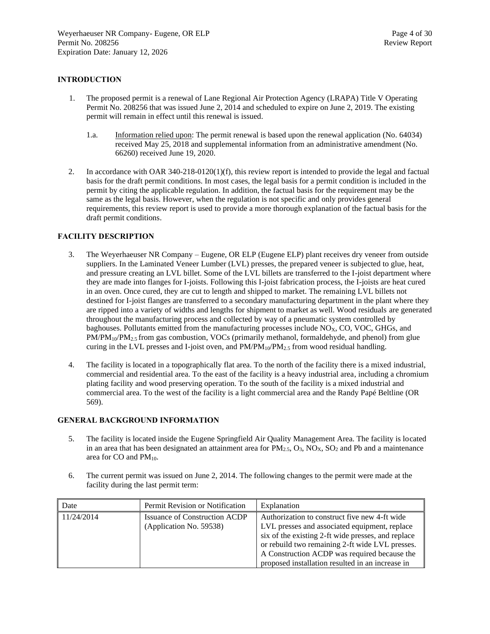# <span id="page-3-0"></span>**INTRODUCTION**

- 1. The proposed permit is a renewal of Lane Regional Air Protection Agency (LRAPA) Title V Operating Permit No. 208256 that was issued June 2, 2014 and scheduled to expire on June 2, 2019. The existing permit will remain in effect until this renewal is issued.
	- 1.a. Information relied upon: The permit renewal is based upon the renewal application (No. 64034) received May 25, 2018 and supplemental information from an administrative amendment (No. 66260) received June 19, 2020.
- 2. In accordance with OAR 340-218-0120(1)(f), this review report is intended to provide the legal and factual basis for the draft permit conditions. In most cases, the legal basis for a permit condition is included in the permit by citing the applicable regulation. In addition, the factual basis for the requirement may be the same as the legal basis. However, when the regulation is not specific and only provides general requirements, this review report is used to provide a more thorough explanation of the factual basis for the draft permit conditions.

#### <span id="page-3-1"></span>**FACILITY DESCRIPTION**

- 3. The Weyerhaeuser NR Company Eugene, OR ELP (Eugene ELP) plant receives dry veneer from outside suppliers. In the Laminated Veneer Lumber (LVL) presses, the prepared veneer is subjected to glue, heat, and pressure creating an LVL billet. Some of the LVL billets are transferred to the I-joist department where they are made into flanges for I-joists. Following this I-joist fabrication process, the I-joists are heat cured in an oven. Once cured, they are cut to length and shipped to market. The remaining LVL billets not destined for I-joist flanges are transferred to a secondary manufacturing department in the plant where they are ripped into a variety of widths and lengths for shipment to market as well. Wood residuals are generated throughout the manufacturing process and collected by way of a pneumatic system controlled by baghouses. Pollutants emitted from the manufacturing processes include  $NO<sub>x</sub>$ , CO, VOC, GHGs, and PM/PM<sub>10</sub>/PM<sub>2.5</sub> from gas combustion, VOCs (primarily methanol, formaldehyde, and phenol) from glue curing in the LVL presses and I-joist oven, and  $PM/PM_{10}/PM_{2.5}$  from wood residual handling.
- 4. The facility is located in a topographically flat area. To the north of the facility there is a mixed industrial, commercial and residential area. To the east of the facility is a heavy industrial area, including a chromium plating facility and wood preserving operation. To the south of the facility is a mixed industrial and commercial area. To the west of the facility is a light commercial area and the Randy Papé Beltline (OR 569).

#### <span id="page-3-2"></span>**GENERAL BACKGROUND INFORMATION**

- 5. The facility is located inside the Eugene Springfield Air Quality Management Area. The facility is located in an area that has been designated an attainment area for  $PM_{2.5}$ ,  $O_3$ ,  $NO<sub>X</sub>$ ,  $SO<sub>2</sub>$  and Pb and a maintenance area for CO and PM10.
- 6. The current permit was issued on June 2, 2014. The following changes to the permit were made at the facility during the last permit term:

| Date       | Permit Revision or Notification                          | Explanation                                                                                                                                                                                             |
|------------|----------------------------------------------------------|---------------------------------------------------------------------------------------------------------------------------------------------------------------------------------------------------------|
| 11/24/2014 | Issuance of Construction ACDP<br>(Application No. 59538) | Authorization to construct five new 4-ft wide<br>LVL presses and associated equipment, replace<br>six of the existing 2-ft wide presses, and replace<br>or rebuild two remaining 2-ft wide LVL presses. |
|            |                                                          | A Construction ACDP was required because the<br>proposed installation resulted in an increase in                                                                                                        |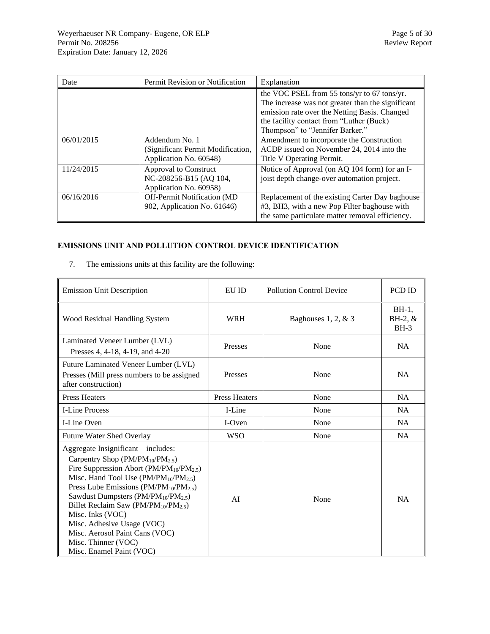| Date       | Permit Revision or Notification                                               | Explanation                                                                                                                                                                                                                      |
|------------|-------------------------------------------------------------------------------|----------------------------------------------------------------------------------------------------------------------------------------------------------------------------------------------------------------------------------|
|            |                                                                               | the VOC PSEL from 55 tons/yr to 67 tons/yr.<br>The increase was not greater than the significant<br>emission rate over the Netting Basis. Changed<br>the facility contact from "Luther (Buck)<br>Thompson" to "Jennifer Barker." |
| 06/01/2015 | Addendum No. 1<br>(Significant Permit Modification,<br>Application No. 60548) | Amendment to incorporate the Construction<br>ACDP issued on November 24, 2014 into the<br>Title V Operating Permit.                                                                                                              |
| 11/24/2015 | Approval to Construct<br>NC-208256-B15 (AQ 104,<br>Application No. 60958)     | Notice of Approval (on AQ 104 form) for an I-<br>joist depth change-over automation project.                                                                                                                                     |
| 06/16/2016 | Off-Permit Notification (MD)<br>902, Application No. 61646)                   | Replacement of the existing Carter Day baghouse<br>#3, BH3, with a new Pop Filter baghouse with<br>the same particulate matter removal efficiency.                                                                               |

# <span id="page-4-0"></span>**EMISSIONS UNIT AND POLLUTION CONTROL DEVICE IDENTIFICATION**

7. The emissions units at this facility are the following:

| <b>Emission Unit Description</b>                                                                                                                                                                                                                                                                                                                                                                                                                                                         | EU ID                | <b>Pollution Control Device</b> | PCD ID                           |
|------------------------------------------------------------------------------------------------------------------------------------------------------------------------------------------------------------------------------------------------------------------------------------------------------------------------------------------------------------------------------------------------------------------------------------------------------------------------------------------|----------------------|---------------------------------|----------------------------------|
| Wood Residual Handling System                                                                                                                                                                                                                                                                                                                                                                                                                                                            | <b>WRH</b>           | Baghouses 1, 2, $& 3$           | $BH-1$ ,<br>$BH-2, \&$<br>$BH-3$ |
| Laminated Veneer Lumber (LVL)<br>Presses 4, 4-18, 4-19, and 4-20                                                                                                                                                                                                                                                                                                                                                                                                                         | Presses              | None                            | <b>NA</b>                        |
| Future Laminated Veneer Lumber (LVL)<br>Presses (Mill press numbers to be assigned<br>after construction)                                                                                                                                                                                                                                                                                                                                                                                | Presses              | None                            | <b>NA</b>                        |
| <b>Press Heaters</b>                                                                                                                                                                                                                                                                                                                                                                                                                                                                     | <b>Press Heaters</b> | None                            | <b>NA</b>                        |
| <b>I-Line Process</b>                                                                                                                                                                                                                                                                                                                                                                                                                                                                    | I-Line               | None                            | NA.                              |
| I-Line Oven                                                                                                                                                                                                                                                                                                                                                                                                                                                                              | I-Oven               | None                            | NA.                              |
| <b>Future Water Shed Overlay</b>                                                                                                                                                                                                                                                                                                                                                                                                                                                         | <b>WSO</b>           | None                            | <b>NA</b>                        |
| Aggregate Insignificant – includes:<br>Carpentry Shop $(PM/PM_{10}/PM_{2.5})$<br>Fire Suppression Abort ( $PM/PM_{10}/PM_{2.5}$ )<br>Misc. Hand Tool Use $(PM/PM_{10}/PM_{2.5})$<br>Press Lube Emissions ( $PM/PM_{10}/PM_{2.5}$ )<br>Sawdust Dumpsters (PM/PM <sub>10</sub> /PM <sub>2.5</sub> )<br>Billet Reclaim Saw ( $PM/PM_{10}/PM_{2.5}$ )<br>Misc. Inks (VOC)<br>Misc. Adhesive Usage (VOC)<br>Misc. Aerosol Paint Cans (VOC)<br>Misc. Thinner (VOC)<br>Misc. Enamel Paint (VOC) | AI                   | None                            | <b>NA</b>                        |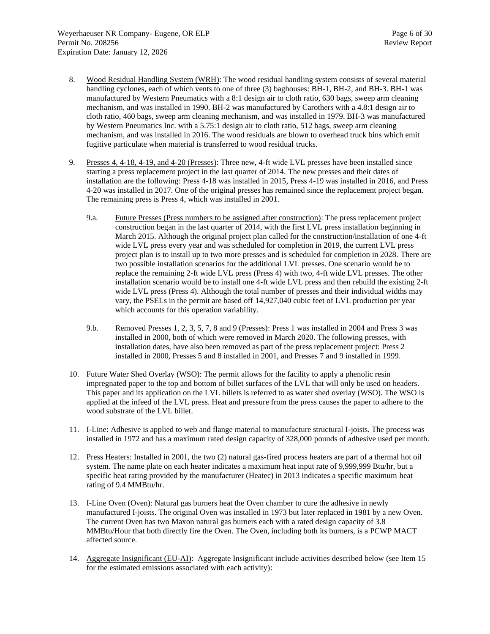- 8. Wood Residual Handling System (WRH): The wood residual handling system consists of several material handling cyclones, each of which vents to one of three (3) baghouses: BH-1, BH-2, and BH-3. BH-1 was manufactured by Western Pneumatics with a 8:1 design air to cloth ratio, 630 bags, sweep arm cleaning mechanism, and was installed in 1990. BH-2 was manufactured by Carothers with a 4.8:1 design air to cloth ratio, 460 bags, sweep arm cleaning mechanism, and was installed in 1979. BH-3 was manufactured by Western Pneumatics Inc. with a 5.75:1 design air to cloth ratio, 512 bags, sweep arm cleaning mechanism, and was installed in 2016. The wood residuals are blown to overhead truck bins which emit fugitive particulate when material is transferred to wood residual trucks.
- 9. Presses 4, 4-18, 4-19, and 4-20 (Presses): Three new, 4-ft wide LVL presses have been installed since starting a press replacement project in the last quarter of 2014. The new presses and their dates of installation are the following: Press 4-18 was installed in 2015, Press 4-19 was installed in 2016, and Press 4-20 was installed in 2017. One of the original presses has remained since the replacement project began. The remaining press is Press 4, which was installed in 2001.
	- 9.a. Future Presses (Press numbers to be assigned after construction): The press replacement project construction began in the last quarter of 2014, with the first LVL press installation beginning in March 2015. Although the original project plan called for the construction/installation of one 4-ft wide LVL press every year and was scheduled for completion in 2019, the current LVL press project plan is to install up to two more presses and is scheduled for completion in 2028. There are two possible installation scenarios for the additional LVL presses. One scenario would be to replace the remaining 2-ft wide LVL press (Press 4) with two, 4-ft wide LVL presses. The other installation scenario would be to install one 4-ft wide LVL press and then rebuild the existing 2-ft wide LVL press (Press 4). Although the total number of presses and their individual widths may vary, the PSELs in the permit are based off 14,927,040 cubic feet of LVL production per year which accounts for this operation variability.
	- 9.b. Removed Presses 1, 2, 3, 5, 7, 8 and 9 (Presses): Press 1 was installed in 2004 and Press 3 was installed in 2000, both of which were removed in March 2020. The following presses, with installation dates, have also been removed as part of the press replacement project: Press 2 installed in 2000, Presses 5 and 8 installed in 2001, and Presses 7 and 9 installed in 1999.
- 10. Future Water Shed Overlay (WSO): The permit allows for the facility to apply a phenolic resin impregnated paper to the top and bottom of billet surfaces of the LVL that will only be used on headers. This paper and its application on the LVL billets is referred to as water shed overlay (WSO). The WSO is applied at the infeed of the LVL press. Heat and pressure from the press causes the paper to adhere to the wood substrate of the LVL billet.
- 11. I-Line: Adhesive is applied to web and flange material to manufacture structural I-joists. The process was installed in 1972 and has a maximum rated design capacity of 328,000 pounds of adhesive used per month.
- 12. Press Heaters: Installed in 2001, the two (2) natural gas-fired process heaters are part of a thermal hot oil system. The name plate on each heater indicates a maximum heat input rate of 9,999,999 Btu/hr, but a specific heat rating provided by the manufacturer (Heatec) in 2013 indicates a specific maximum heat rating of 9.4 MMBtu/hr.
- 13. I-Line Oven (Oven): Natural gas burners heat the Oven chamber to cure the adhesive in newly manufactured I-joists. The original Oven was installed in 1973 but later replaced in 1981 by a new Oven. The current Oven has two Maxon natural gas burners each with a rated design capacity of 3.8 MMBtu/Hour that both directly fire the Oven. The Oven, including both its burners, is a PCWP MACT affected source.
- 14. Aggregate Insignificant (EU-AI): Aggregate Insignificant include activities described below (see Ite[m 15](#page-6-1) for the estimated emissions associated with each activity):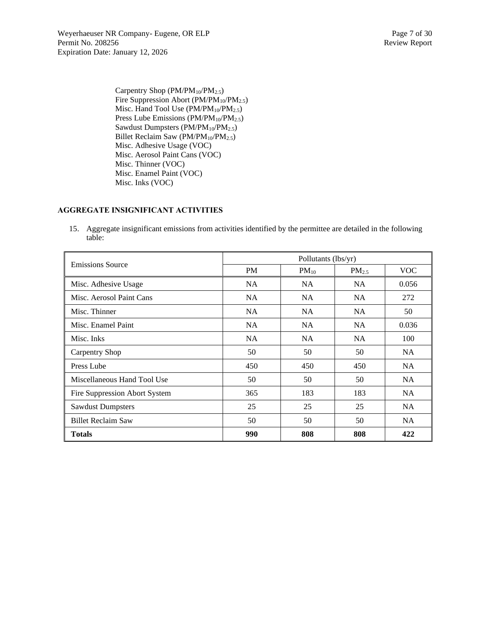Weyerhaeuser NR Company- Eugene, OR ELP Page 7 of 30 Permit No. 208256 Review Report Expiration Date: January 12, 2026

Carpentry Shop  $(PM/PM_{10}/PM_{2.5})$ Fire Suppression Abort (PM/PM<sub>10</sub>/PM<sub>2.5</sub>) Misc. Hand Tool Use  $(PM/PM_{10}/PM_{2.5})$ Press Lube Emissions (PM/PM<sub>10</sub>/PM<sub>2.5</sub>) Sawdust Dumpsters ( $PM/PM_{10}/PM_{2.5}$ ) Billet Reclaim Saw (PM/PM<sub>10</sub>/PM<sub>2.5</sub>) Misc. Adhesive Usage (VOC) Misc. Aerosol Paint Cans (VOC) Misc. Thinner (VOC) Misc. Enamel Paint (VOC) Misc. Inks (VOC)

#### <span id="page-6-0"></span>**AGGREGATE INSIGNIFICANT ACTIVITIES**

<span id="page-6-1"></span>15. Aggregate insignificant emissions from activities identified by the permittee are detailed in the following table:

| <b>Emissions Source</b>       | Pollutants (lbs/yr) |           |                   |            |  |  |
|-------------------------------|---------------------|-----------|-------------------|------------|--|--|
|                               | <b>PM</b>           | $PM_{10}$ | PM <sub>2.5</sub> | <b>VOC</b> |  |  |
| Misc. Adhesive Usage          | <b>NA</b>           | NA        | NA.               | 0.056      |  |  |
| Misc. Aerosol Paint Cans      | <b>NA</b>           | NA        | NA.               | 272        |  |  |
| Misc. Thinner                 | <b>NA</b>           | NA        | NA.               | 50         |  |  |
| Misc. Enamel Paint            | <b>NA</b>           | NA        | <b>NA</b>         | 0.036      |  |  |
| Misc. Inks                    | <b>NA</b>           | NA        | NA                | 100        |  |  |
| <b>Carpentry Shop</b>         | 50                  | 50        | 50                | NA.        |  |  |
| Press Lube                    | 450                 | 450       | 450               | <b>NA</b>  |  |  |
| Miscellaneous Hand Tool Use   | 50                  | 50        | 50                | <b>NA</b>  |  |  |
| Fire Suppression Abort System | 365                 | 183       | 183               | <b>NA</b>  |  |  |
| <b>Sawdust Dumpsters</b>      | 25                  | 25        | 25                | <b>NA</b>  |  |  |
| <b>Billet Reclaim Saw</b>     | 50                  | 50        | 50                | <b>NA</b>  |  |  |
| <b>Totals</b>                 | 990                 | 808       | 808               | 422        |  |  |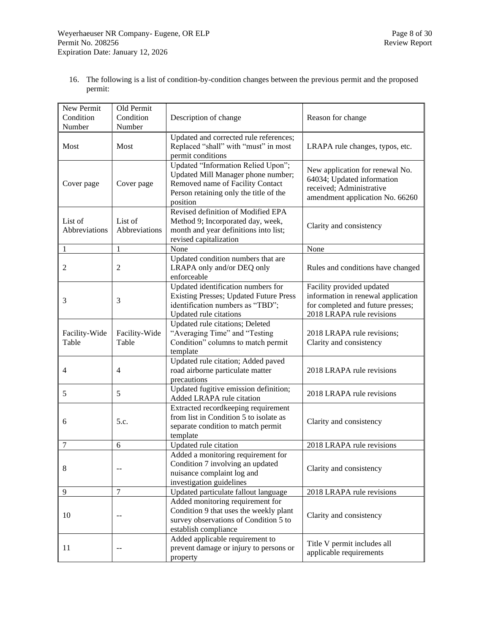16. The following is a list of condition-by-condition changes between the previous permit and the proposed permit:

| New Permit<br>Condition  | Old Permit<br>Condition  | Description of change                                                                                                                                              | Reason for change                                                                                                                 |
|--------------------------|--------------------------|--------------------------------------------------------------------------------------------------------------------------------------------------------------------|-----------------------------------------------------------------------------------------------------------------------------------|
| Number                   | Number                   |                                                                                                                                                                    |                                                                                                                                   |
| Most                     | Most                     | Updated and corrected rule references;<br>Replaced "shall" with "must" in most<br>permit conditions                                                                | LRAPA rule changes, typos, etc.                                                                                                   |
| Cover page               | Cover page               | Updated "Information Relied Upon";<br>Updated Mill Manager phone number;<br>Removed name of Facility Contact<br>Person retaining only the title of the<br>position | New application for renewal No.<br>64034; Updated information<br>received; Administrative<br>amendment application No. 66260      |
| List of<br>Abbreviations | List of<br>Abbreviations | Revised definition of Modified EPA<br>Method 9; Incorporated day, week,<br>month and year definitions into list;<br>revised capitalization                         | Clarity and consistency                                                                                                           |
| $\mathbf{1}$             | $\mathbf{1}$             | None                                                                                                                                                               | None                                                                                                                              |
| 2                        | $\overline{c}$           | Updated condition numbers that are<br>LRAPA only and/or DEQ only<br>enforceable                                                                                    | Rules and conditions have changed                                                                                                 |
| 3                        | 3                        | Updated identification numbers for<br><b>Existing Presses; Updated Future Press</b><br>identification numbers as "TBD";<br>Updated rule citations                  | Facility provided updated<br>information in renewal application<br>for completed and future presses;<br>2018 LRAPA rule revisions |
| Facility-Wide<br>Table   | Facility-Wide<br>Table   | Updated rule citations; Deleted<br>"Averaging Time" and "Testing<br>Condition" columns to match permit<br>template                                                 | 2018 LRAPA rule revisions;<br>Clarity and consistency                                                                             |
| 4                        | $\overline{4}$           | Updated rule citation; Added paved<br>road airborne particulate matter<br>precautions                                                                              | 2018 LRAPA rule revisions                                                                                                         |
| 5                        | 5                        | Updated fugitive emission definition;<br>Added LRAPA rule citation                                                                                                 | 2018 LRAPA rule revisions                                                                                                         |
| 6                        | 5.c.                     | Extracted recordkeeping requirement<br>from list in Condition 5 to isolate as<br>separate condition to match permit<br>template                                    | Clarity and consistency                                                                                                           |
| 7                        | 6                        | Updated rule citation                                                                                                                                              | 2018 LRAPA rule revisions                                                                                                         |
| 8                        | $\overline{a}$           | Added a monitoring requirement for<br>Condition 7 involving an updated<br>nuisance complaint log and<br>investigation guidelines                                   | Clarity and consistency                                                                                                           |
| 9                        | 7                        | Updated particulate fallout language                                                                                                                               | 2018 LRAPA rule revisions                                                                                                         |
| 10                       | $\overline{a}$           | Added monitoring requirement for<br>Condition 9 that uses the weekly plant<br>survey observations of Condition 5 to<br>establish compliance                        | Clarity and consistency                                                                                                           |
| 11                       |                          | Added applicable requirement to<br>prevent damage or injury to persons or<br>property                                                                              | Title V permit includes all<br>applicable requirements                                                                            |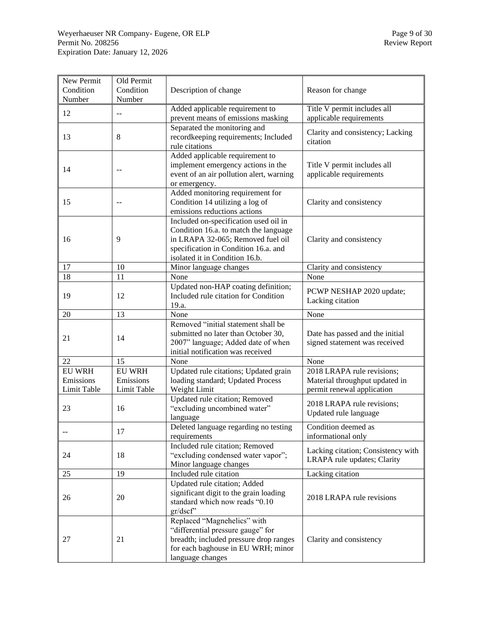| New Permit    | Old Permit    |                                          |                                    |
|---------------|---------------|------------------------------------------|------------------------------------|
| Condition     | Condition     | Description of change                    | Reason for change                  |
| Number        | Number        |                                          |                                    |
| 12            | $-$           | Added applicable requirement to          | Title V permit includes all        |
|               |               | prevent means of emissions masking       | applicable requirements            |
|               |               | Separated the monitoring and             | Clarity and consistency; Lacking   |
| 13            | 8             | recordkeeping requirements; Included     | citation                           |
|               |               | rule citations                           |                                    |
|               |               | Added applicable requirement to          |                                    |
| 14            | $-$           | implement emergency actions in the       | Title V permit includes all        |
|               |               | event of an air pollution alert, warning | applicable requirements            |
|               |               | or emergency.                            |                                    |
|               |               | Added monitoring requirement for         |                                    |
| 15            | $-$           | Condition 14 utilizing a log of          | Clarity and consistency            |
|               |               | emissions reductions actions             |                                    |
|               |               | Included on-specification used oil in    |                                    |
|               |               | Condition 16.a. to match the language    |                                    |
| 16            | 9             | in LRAPA 32-065; Removed fuel oil        | Clarity and consistency            |
|               |               | specification in Condition 16.a. and     |                                    |
|               |               | isolated it in Condition 16.b.           |                                    |
| 17            | 10            | Minor language changes                   | Clarity and consistency            |
| 18            | 11            | None                                     | None                               |
|               |               | Updated non-HAP coating definition;      | PCWP NESHAP 2020 update;           |
| 19            | 12            | Included rule citation for Condition     | Lacking citation                   |
|               |               | 19.a.                                    |                                    |
| 20            | 13            | None                                     | None                               |
|               |               | Removed "initial statement shall be      |                                    |
| 21            | 14            | submitted no later than October 30,      | Date has passed and the initial    |
|               |               | 2007" language; Added date of when       | signed statement was received      |
|               |               | initial notification was received        |                                    |
| 22            | 15            | None                                     | None                               |
| <b>EU WRH</b> | <b>EU WRH</b> | Updated rule citations; Updated grain    | 2018 LRAPA rule revisions;         |
| Emissions     | Emissions     | loading standard; Updated Process        | Material throughput updated in     |
| Limit Table   | Limit Table   | Weight Limit                             | permit renewal application         |
|               |               | Updated rule citation; Removed           | 2018 LRAPA rule revisions;         |
| 23            | 16            | "excluding uncombined water"             | Updated rule language              |
|               |               | language                                 |                                    |
|               | 17            | Deleted language regarding no testing    | Condition deemed as                |
|               |               | requirements                             | informational only                 |
|               |               | Included rule citation; Removed          | Lacking citation; Consistency with |
| 24            | 18            | "excluding condensed water vapor";       | LRAPA rule updates; Clarity        |
|               |               | Minor language changes                   |                                    |
| 25            | 19            | Included rule citation                   | Lacking citation                   |
|               |               | Updated rule citation; Added             |                                    |
| 26            | 20            | significant digit to the grain loading   | 2018 LRAPA rule revisions          |
|               |               | standard which now reads "0.10           |                                    |
|               |               | gr/dscf"                                 |                                    |
|               |               | Replaced "Magnehelics" with              |                                    |
|               |               | "differential pressure gauge" for        |                                    |
| 27            | 21            | breadth; included pressure drop ranges   | Clarity and consistency            |
|               |               | for each baghouse in EU WRH; minor       |                                    |
|               |               | language changes                         |                                    |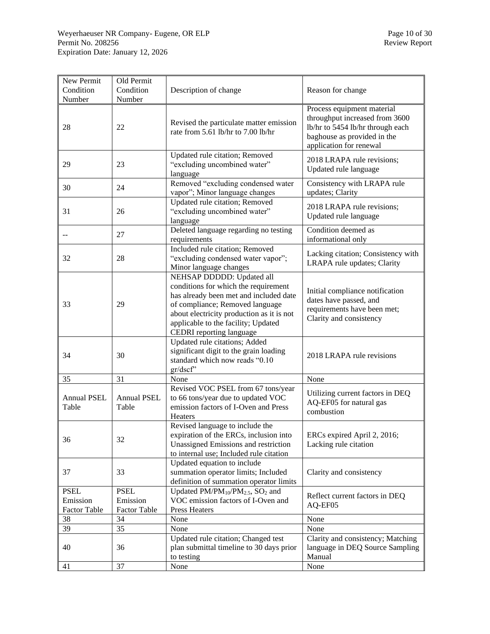| New Permit<br>Condition<br>Number              | Old Permit<br>Condition<br>Number              | Description of change                                                                                                                                                                                                                                          | Reason for change                                                                                                                                          |
|------------------------------------------------|------------------------------------------------|----------------------------------------------------------------------------------------------------------------------------------------------------------------------------------------------------------------------------------------------------------------|------------------------------------------------------------------------------------------------------------------------------------------------------------|
| 28                                             | 22                                             | Revised the particulate matter emission<br>rate from 5.61 lb/hr to 7.00 lb/hr                                                                                                                                                                                  | Process equipment material<br>throughput increased from 3600<br>lb/hr to 5454 lb/hr through each<br>baghouse as provided in the<br>application for renewal |
| 29                                             | 23                                             | Updated rule citation; Removed<br>"excluding uncombined water"<br>language                                                                                                                                                                                     | 2018 LRAPA rule revisions;<br>Updated rule language                                                                                                        |
| 30                                             | 24                                             | Removed "excluding condensed water<br>vapor"; Minor language changes                                                                                                                                                                                           | Consistency with LRAPA rule<br>updates; Clarity                                                                                                            |
| 31                                             | 26                                             | Updated rule citation; Removed<br>"excluding uncombined water"<br>language                                                                                                                                                                                     | 2018 LRAPA rule revisions;<br>Updated rule language                                                                                                        |
|                                                | 27                                             | Deleted language regarding no testing<br>requirements                                                                                                                                                                                                          | Condition deemed as<br>informational only                                                                                                                  |
| 32                                             | 28                                             | Included rule citation; Removed<br>"excluding condensed water vapor";<br>Minor language changes                                                                                                                                                                | Lacking citation; Consistency with<br>LRAPA rule updates; Clarity                                                                                          |
| 33                                             | 29                                             | NEHSAP DDDDD: Updated all<br>conditions for which the requirement<br>has already been met and included date<br>of compliance; Removed language<br>about electricity production as it is not<br>applicable to the facility; Updated<br>CEDRI reporting language | Initial compliance notification<br>dates have passed, and<br>requirements have been met;<br>Clarity and consistency                                        |
| 34                                             | 30                                             | Updated rule citations; Added<br>significant digit to the grain loading<br>standard which now reads "0.10<br>gr/dscf'                                                                                                                                          | 2018 LRAPA rule revisions                                                                                                                                  |
| 35                                             | 31                                             | None                                                                                                                                                                                                                                                           | None                                                                                                                                                       |
| <b>Annual PSEL</b><br>Table                    | <b>Annual PSEL</b><br>Table                    | Revised VOC PSEL from 67 tons/year<br>to 66 tons/year due to updated VOC<br>emission factors of I-Oven and Press<br>Heaters                                                                                                                                    | Utilizing current factors in DEQ<br>AQ-EF05 for natural gas<br>combustion                                                                                  |
| 36                                             | 32                                             | Revised language to include the<br>expiration of the ERCs, inclusion into<br>Unassigned Emissions and restriction<br>to internal use; Included rule citation                                                                                                   | ERCs expired April 2, 2016;<br>Lacking rule citation                                                                                                       |
| 37                                             | 33                                             | Updated equation to include<br>summation operator limits; Included<br>definition of summation operator limits                                                                                                                                                  | Clarity and consistency                                                                                                                                    |
| <b>PSEL</b><br>Emission<br><b>Factor Table</b> | <b>PSEL</b><br>Emission<br><b>Factor Table</b> | Updated PM/PM <sub>10</sub> /PM <sub>2.5</sub> , SO <sub>2</sub> and<br>VOC emission factors of I-Oven and<br><b>Press Heaters</b>                                                                                                                             | Reflect current factors in DEQ<br>AQ-EF05                                                                                                                  |
| 38                                             | 34                                             | None                                                                                                                                                                                                                                                           | None                                                                                                                                                       |
| 39                                             | 35                                             | None                                                                                                                                                                                                                                                           | None                                                                                                                                                       |
| 40                                             | 36                                             | Updated rule citation; Changed test<br>plan submittal timeline to 30 days prior<br>to testing                                                                                                                                                                  | Clarity and consistency; Matching<br>language in DEQ Source Sampling<br>Manual                                                                             |
| 41                                             | 37                                             | None                                                                                                                                                                                                                                                           | None                                                                                                                                                       |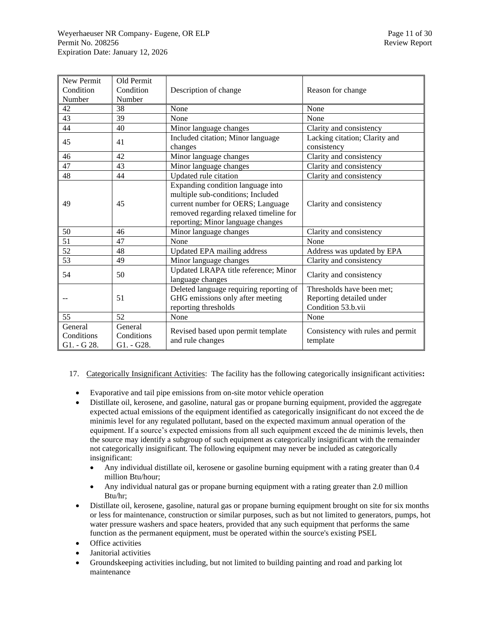| New Permit                           | Old Permit                          |                                                                                                                                                                                            |                                                                             |
|--------------------------------------|-------------------------------------|--------------------------------------------------------------------------------------------------------------------------------------------------------------------------------------------|-----------------------------------------------------------------------------|
| Condition                            | Condition                           | Description of change                                                                                                                                                                      | Reason for change                                                           |
| Number                               | Number                              |                                                                                                                                                                                            |                                                                             |
| 42                                   | 38                                  | None                                                                                                                                                                                       | None                                                                        |
| 43                                   | 39                                  | None                                                                                                                                                                                       | None                                                                        |
| 44                                   | 40                                  | Minor language changes                                                                                                                                                                     | Clarity and consistency                                                     |
| 45                                   | 41                                  | Included citation; Minor language<br>changes                                                                                                                                               | Lacking citation; Clarity and<br>consistency                                |
| 46                                   | 42                                  | Minor language changes                                                                                                                                                                     | Clarity and consistency                                                     |
| 47                                   | 43                                  | Minor language changes                                                                                                                                                                     | Clarity and consistency                                                     |
| 48                                   | 44                                  | Updated rule citation                                                                                                                                                                      | Clarity and consistency                                                     |
| 49                                   | 45                                  | Expanding condition language into<br>multiple sub-conditions; Included<br>current number for OERS; Language<br>removed regarding relaxed timeline for<br>reporting; Minor language changes | Clarity and consistency                                                     |
| 50                                   | 46                                  | Minor language changes                                                                                                                                                                     | Clarity and consistency                                                     |
| 51                                   | 47                                  | None                                                                                                                                                                                       | None                                                                        |
| 52                                   | 48                                  | <b>Updated EPA mailing address</b>                                                                                                                                                         | Address was updated by EPA                                                  |
| 53                                   | 49                                  | Minor language changes                                                                                                                                                                     | Clarity and consistency                                                     |
| 54                                   | 50                                  | Updated LRAPA title reference; Minor<br>language changes                                                                                                                                   | Clarity and consistency                                                     |
|                                      | 51                                  | Deleted language requiring reporting of<br>GHG emissions only after meeting<br>reporting thresholds                                                                                        | Thresholds have been met;<br>Reporting detailed under<br>Condition 53.b.vii |
| 55                                   | 52                                  | None                                                                                                                                                                                       | None                                                                        |
| General<br>Conditions<br>G1. - G 28. | General<br>Conditions<br>G1. - G28. | Revised based upon permit template<br>and rule changes                                                                                                                                     | Consistency with rules and permit<br>template                               |

- 17. Categorically Insignificant Activities: The facility has the following categorically insignificant activities**:**
	- Evaporative and tail pipe emissions from on-site motor vehicle operation
	- Distillate oil, kerosene, and gasoline, natural gas or propane burning equipment, provided the aggregate expected actual emissions of the equipment identified as categorically insignificant do not exceed the de minimis level for any regulated pollutant, based on the expected maximum annual operation of the equipment. If a source's expected emissions from all such equipment exceed the de minimis levels, then the source may identify a subgroup of such equipment as categorically insignificant with the remainder not categorically insignificant. The following equipment may never be included as categorically insignificant:
		- Any individual distillate oil, kerosene or gasoline burning equipment with a rating greater than 0.4 million Btu/hour;
		- Any individual natural gas or propane burning equipment with a rating greater than 2.0 million Btu/hr;
	- Distillate oil, kerosene, gasoline, natural gas or propane burning equipment brought on site for six months or less for maintenance, construction or similar purposes, such as but not limited to generators, pumps, hot water pressure washers and space heaters, provided that any such equipment that performs the same function as the permanent equipment, must be operated within the source's existing PSEL
	- Office activities
	- Janitorial activities
	- Groundskeeping activities including, but not limited to building painting and road and parking lot maintenance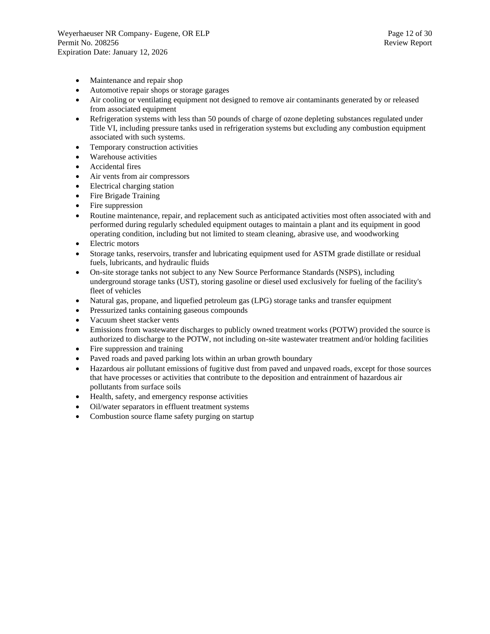- Maintenance and repair shop
- Automotive repair shops or storage garages
- Air cooling or ventilating equipment not designed to remove air contaminants generated by or released from associated equipment
- Refrigeration systems with less than 50 pounds of charge of ozone depleting substances regulated under Title VI, including pressure tanks used in refrigeration systems but excluding any combustion equipment associated with such systems.
- Temporary construction activities
- Warehouse activities
- Accidental fires
- Air vents from air compressors
- Electrical charging station
- Fire Brigade Training
- Fire suppression
- Routine maintenance, repair, and replacement such as anticipated activities most often associated with and performed during regularly scheduled equipment outages to maintain a plant and its equipment in good operating condition, including but not limited to steam cleaning, abrasive use, and woodworking
- Electric motors
- Storage tanks, reservoirs, transfer and lubricating equipment used for ASTM grade distillate or residual fuels, lubricants, and hydraulic fluids
- On-site storage tanks not subject to any New Source Performance Standards (NSPS), including underground storage tanks (UST), storing gasoline or diesel used exclusively for fueling of the facility's fleet of vehicles
- Natural gas, propane, and liquefied petroleum gas (LPG) storage tanks and transfer equipment
- Pressurized tanks containing gaseous compounds
- Vacuum sheet stacker vents
- Emissions from wastewater discharges to publicly owned treatment works (POTW) provided the source is authorized to discharge to the POTW, not including on-site wastewater treatment and/or holding facilities
- Fire suppression and training
- Paved roads and paved parking lots within an urban growth boundary
- Hazardous air pollutant emissions of fugitive dust from paved and unpaved roads, except for those sources that have processes or activities that contribute to the deposition and entrainment of hazardous air pollutants from surface soils
- Health, safety, and emergency response activities
- Oil/water separators in effluent treatment systems
- Combustion source flame safety purging on startup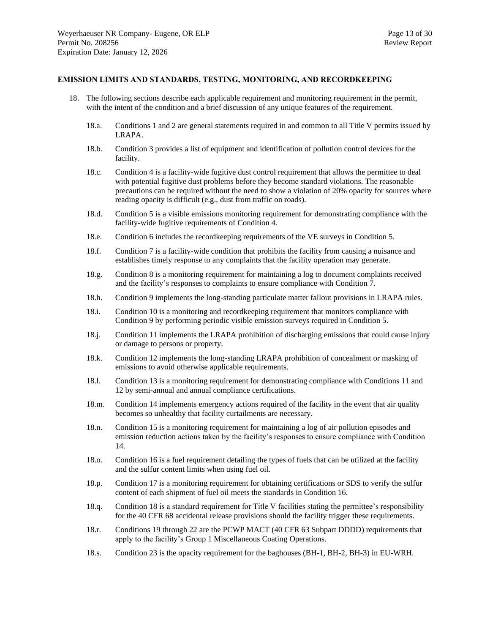#### <span id="page-12-0"></span>**EMISSION LIMITS AND STANDARDS, TESTING, MONITORING, AND RECORDKEEPING**

- 18. The following sections describe each applicable requirement and monitoring requirement in the permit, with the intent of the condition and a brief discussion of any unique features of the requirement.
	- 18.a. Conditions 1 and 2 are general statements required in and common to all Title V permits issued by LRAPA.
	- 18.b. Condition 3 provides a list of equipment and identification of pollution control devices for the facility.
	- 18.c. Condition 4 is a facility-wide fugitive dust control requirement that allows the permittee to deal with potential fugitive dust problems before they become standard violations. The reasonable precautions can be required without the need to show a violation of 20% opacity for sources where reading opacity is difficult (e.g., dust from traffic on roads).
	- 18.d. Condition 5 is a visible emissions monitoring requirement for demonstrating compliance with the facility-wide fugitive requirements of Condition 4.
	- 18.e. Condition 6 includes the recordkeeping requirements of the VE surveys in Condition 5.
	- 18.f. Condition 7 is a facility-wide condition that prohibits the facility from causing a nuisance and establishes timely response to any complaints that the facility operation may generate.
	- 18.g. Condition 8 is a monitoring requirement for maintaining a log to document complaints received and the facility's responses to complaints to ensure compliance with Condition 7.
	- 18.h. Condition 9 implements the long-standing particulate matter fallout provisions in LRAPA rules.
	- 18.i. Condition 10 is a monitoring and recordkeeping requirement that monitors compliance with Condition 9 by performing periodic visible emission surveys required in Condition 5.
	- 18.j. Condition 11 implements the LRAPA prohibition of discharging emissions that could cause injury or damage to persons or property.
	- 18.k. Condition 12 implements the long-standing LRAPA prohibition of concealment or masking of emissions to avoid otherwise applicable requirements.
	- 18.l. Condition 13 is a monitoring requirement for demonstrating compliance with Conditions 11 and 12 by semi-annual and annual compliance certifications.
	- 18.m. Condition 14 implements emergency actions required of the facility in the event that air quality becomes so unhealthy that facility curtailments are necessary.
	- 18.n. Condition 15 is a monitoring requirement for maintaining a log of air pollution episodes and emission reduction actions taken by the facility's responses to ensure compliance with Condition 14.
	- 18.o. Condition 16 is a fuel requirement detailing the types of fuels that can be utilized at the facility and the sulfur content limits when using fuel oil.
	- 18.p. Condition 17 is a monitoring requirement for obtaining certifications or SDS to verify the sulfur content of each shipment of fuel oil meets the standards in Condition 16.
	- 18.q. Condition 18 is a standard requirement for Title V facilities stating the permittee's responsibility for the 40 CFR 68 accidental release provisions should the facility trigger these requirements.
	- 18.r. Conditions 19 through 22 are the PCWP MACT (40 CFR 63 Subpart DDDD) requirements that apply to the facility's Group 1 Miscellaneous Coating Operations.
	- 18.s. Condition 23 is the opacity requirement for the baghouses (BH-1, BH-2, BH-3) in EU-WRH.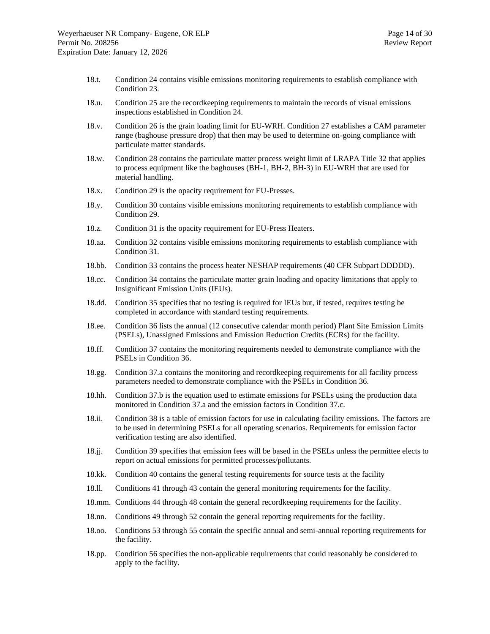- 18.t. Condition 24 contains visible emissions monitoring requirements to establish compliance with Condition 23.
- 18.u. Condition 25 are the recordkeeping requirements to maintain the records of visual emissions inspections established in Condition 24.
- 18.v. Condition 26 is the grain loading limit for EU-WRH. Condition 27 establishes a CAM parameter range (baghouse pressure drop) that then may be used to determine on-going compliance with particulate matter standards.
- 18.w. Condition 28 contains the particulate matter process weight limit of LRAPA Title 32 that applies to process equipment like the baghouses (BH-1, BH-2, BH-3) in EU-WRH that are used for material handling.
- 18.x. Condition 29 is the opacity requirement for EU-Presses.
- 18.y. Condition 30 contains visible emissions monitoring requirements to establish compliance with Condition 29.
- 18.z. Condition 31 is the opacity requirement for EU-Press Heaters.
- 18.aa. Condition 32 contains visible emissions monitoring requirements to establish compliance with Condition 31.
- 18.bb. Condition 33 contains the process heater NESHAP requirements (40 CFR Subpart DDDDD).
- 18.cc. Condition 34 contains the particulate matter grain loading and opacity limitations that apply to Insignificant Emission Units (IEUs).
- 18.dd. Condition 35 specifies that no testing is required for IEUs but, if tested, requires testing be completed in accordance with standard testing requirements.
- 18.ee. Condition 36 lists the annual (12 consecutive calendar month period) Plant Site Emission Limits (PSELs), Unassigned Emissions and Emission Reduction Credits (ECRs) for the facility.
- 18.ff. Condition 37 contains the monitoring requirements needed to demonstrate compliance with the PSELs in Condition 36.
- 18.gg. Condition 37.a contains the monitoring and recordkeeping requirements for all facility process parameters needed to demonstrate compliance with the PSELs in Condition 36.
- 18.hh. Condition 37.b is the equation used to estimate emissions for PSELs using the production data monitored in Condition 37.a and the emission factors in Condition 37.c.
- 18.ii. Condition 38 is a table of emission factors for use in calculating facility emissions. The factors are to be used in determining PSELs for all operating scenarios. Requirements for emission factor verification testing are also identified.
- 18.jj. Condition 39 specifies that emission fees will be based in the PSELs unless the permittee elects to report on actual emissions for permitted processes/pollutants.
- 18.kk. Condition 40 contains the general testing requirements for source tests at the facility
- 18.ll. Conditions 41 through 43 contain the general monitoring requirements for the facility.
- 18.mm. Conditions 44 through 48 contain the general recordkeeping requirements for the facility.
- 18.nn. Conditions 49 through 52 contain the general reporting requirements for the facility.
- 18.oo. Conditions 53 through 55 contain the specific annual and semi-annual reporting requirements for the facility.
- 18.pp. Condition 56 specifies the non-applicable requirements that could reasonably be considered to apply to the facility.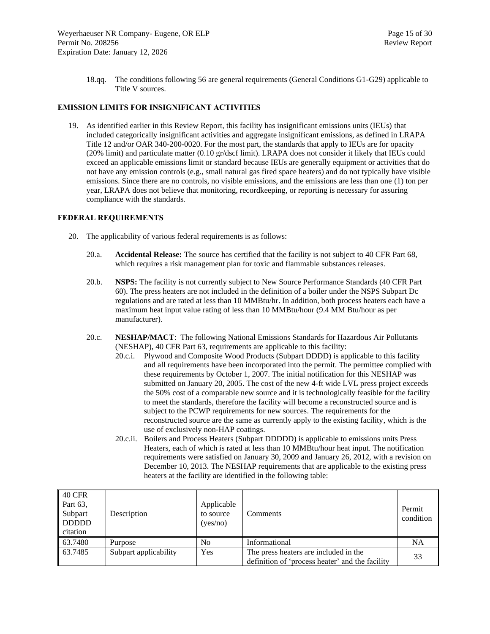18.qq. The conditions following 56 are general requirements (General Conditions G1-G29) applicable to Title V sources.

#### <span id="page-14-0"></span>**EMISSION LIMITS FOR INSIGNIFICANT ACTIVITIES**

19. As identified earlier in this Review Report, this facility has insignificant emissions units (IEUs) that included categorically insignificant activities and aggregate insignificant emissions, as defined in LRAPA Title 12 and/or OAR 340-200-0020. For the most part, the standards that apply to IEUs are for opacity (20% limit) and particulate matter (0.10 gr/dscf limit). LRAPA does not consider it likely that IEUs could exceed an applicable emissions limit or standard because IEUs are generally equipment or activities that do not have any emission controls (e.g., small natural gas fired space heaters) and do not typically have visible emissions. Since there are no controls, no visible emissions, and the emissions are less than one (1) ton per year, LRAPA does not believe that monitoring, recordkeeping, or reporting is necessary for assuring compliance with the standards.

#### <span id="page-14-1"></span>**FEDERAL REQUIREMENTS**

- 20. The applicability of various federal requirements is as follows:
	- 20.a. **Accidental Release:** The source has certified that the facility is not subject to 40 CFR Part 68, which requires a risk management plan for toxic and flammable substances releases.
	- 20.b. **NSPS:** The facility is not currently subject to New Source Performance Standards (40 CFR Part 60). The press heaters are not included in the definition of a boiler under the NSPS Subpart Dc regulations and are rated at less than 10 MMBtu/hr. In addition, both process heaters each have a maximum heat input value rating of less than 10 MMBtu/hour (9.4 MM Btu/hour as per manufacturer).
	- 20.c. **NESHAP/MACT**: The following National Emissions Standards for Hazardous Air Pollutants (NESHAP), 40 CFR Part 63, requirements are applicable to this facility:
		- 20.c.i. Plywood and Composite Wood Products (Subpart DDDD) is applicable to this facility and all requirements have been incorporated into the permit. The permittee complied with these requirements by October 1, 2007. The initial notification for this NESHAP was submitted on January 20, 2005. The cost of the new 4-ft wide LVL press project exceeds the 50% cost of a comparable new source and it is technologically feasible for the facility to meet the standards, therefore the facility will become a reconstructed source and is subject to the PCWP requirements for new sources. The requirements for the reconstructed source are the same as currently apply to the existing facility, which is the use of exclusively non-HAP coatings.
		- 20.c.ii. Boilers and Process Heaters (Subpart DDDDD) is applicable to emissions units Press Heaters, each of which is rated at less than 10 MMBtu/hour heat input. The notification requirements were satisfied on January 30, 2009 and January 26, 2012, with a revision on December 10, 2013. The NESHAP requirements that are applicable to the existing press heaters at the facility are identified in the following table:

| 40 CFR<br>Part 63,<br>Subpart<br><b>DDDDD</b><br>citation | Description           | Applicable<br>to source<br>(yes/no) | Comments                                                                                 | Permit<br>condition |
|-----------------------------------------------------------|-----------------------|-------------------------------------|------------------------------------------------------------------------------------------|---------------------|
| 63.7480                                                   | Purpose               | N <sub>0</sub>                      | Informational                                                                            | <b>NA</b>           |
| 63.7485                                                   | Subpart applicability | Yes                                 | The press heaters are included in the<br>definition of 'process heater' and the facility | 33                  |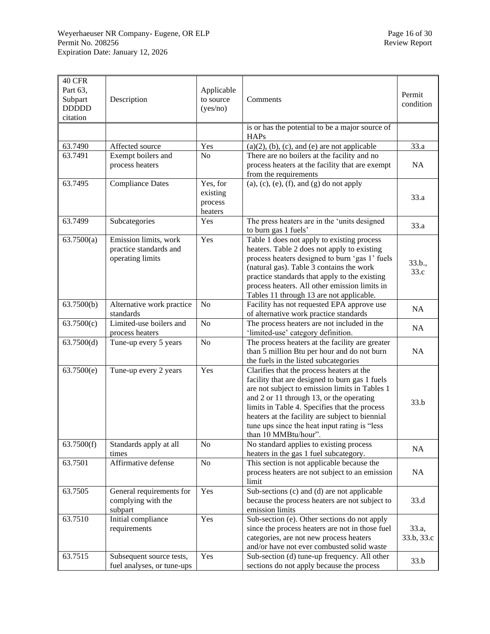| 40 CFR<br>Part 63,<br>Subpart<br><b>DDDDD</b><br>citation | Description                                                         | Applicable<br>to source<br>(yes/no)        | Comments                                                                                                                                                                                                                                                                                                                                                               | Permit<br>condition |
|-----------------------------------------------------------|---------------------------------------------------------------------|--------------------------------------------|------------------------------------------------------------------------------------------------------------------------------------------------------------------------------------------------------------------------------------------------------------------------------------------------------------------------------------------------------------------------|---------------------|
|                                                           |                                                                     |                                            | is or has the potential to be a major source of<br><b>HAPs</b>                                                                                                                                                                                                                                                                                                         |                     |
| 63.7490                                                   | Affected source                                                     | Yes                                        | $(a)(2)$ , (b), (c), and (e) are not applicable                                                                                                                                                                                                                                                                                                                        | 33.a                |
| 63.7491                                                   | Exempt boilers and                                                  | N <sub>o</sub>                             | There are no boilers at the facility and no                                                                                                                                                                                                                                                                                                                            |                     |
|                                                           | process heaters                                                     |                                            | process heaters at the facility that are exempt                                                                                                                                                                                                                                                                                                                        | <b>NA</b>           |
|                                                           |                                                                     |                                            | from the requirements                                                                                                                                                                                                                                                                                                                                                  |                     |
| 63.7495                                                   | <b>Compliance Dates</b>                                             | Yes, for<br>existing<br>process<br>heaters | $(a)$ , $(c)$ , $(e)$ , $(f)$ , and $(g)$ do not apply                                                                                                                                                                                                                                                                                                                 | 33.a                |
| 63.7499                                                   | Subcategories                                                       | Yes                                        | The press heaters are in the 'units designed<br>to burn gas 1 fuels'                                                                                                                                                                                                                                                                                                   | 33.a                |
| 63.7500(a)                                                | Emission limits, work<br>practice standards and<br>operating limits | Yes                                        | Table 1 does not apply to existing process<br>heaters. Table 2 does not apply to existing<br>process heaters designed to burn 'gas 1' fuels<br>(natural gas). Table 3 contains the work<br>practice standards that apply to the existing<br>process heaters. All other emission limits in<br>Tables 11 through 13 are not applicable.                                  | 33.b.,<br>33.c      |
| 63.7500(b)                                                | Alternative work practice<br>standards                              | N <sub>o</sub>                             | Facility has not requested EPA approve use<br>of alternative work practice standards                                                                                                                                                                                                                                                                                   | NA                  |
| 63.7500(c)                                                | Limited-use boilers and<br>process heaters                          | N <sub>o</sub>                             | The process heaters are not included in the<br>'limited-use' category definition.                                                                                                                                                                                                                                                                                      | NA                  |
| 63.7500(d)                                                | Tune-up every 5 years                                               | No                                         | The process heaters at the facility are greater<br>than 5 million Btu per hour and do not burn<br>the fuels in the listed subcategories                                                                                                                                                                                                                                | NA                  |
| 63.7500(e)                                                | Tune-up every 2 years                                               | Yes                                        | Clarifies that the process heaters at the<br>facility that are designed to burn gas 1 fuels<br>are not subject to emission limits in Tables 1<br>and 2 or 11 through 13, or the operating<br>limits in Table 4. Specifies that the process<br>heaters at the facility are subject to biennial<br>tune ups since the heat input rating is "less<br>than 10 MMBtu/hour". | 33.b                |
| 63.7500(f)                                                | Standards apply at all<br>times                                     | No                                         | No standard applies to existing process<br>heaters in the gas 1 fuel subcategory.                                                                                                                                                                                                                                                                                      | <b>NA</b>           |
| 63.7501                                                   | Affirmative defense                                                 | No                                         | This section is not applicable because the<br>process heaters are not subject to an emission<br>limit                                                                                                                                                                                                                                                                  | <b>NA</b>           |
| 63.7505                                                   | General requirements for<br>complying with the<br>subpart           | Yes                                        | Sub-sections (c) and (d) are not applicable<br>because the process heaters are not subject to<br>emission limits                                                                                                                                                                                                                                                       | 33.d                |
| 63.7510                                                   | Initial compliance<br>requirements                                  | Yes                                        | Sub-section (e). Other sections do not apply<br>since the process heaters are not in those fuel<br>categories, are not new process heaters<br>and/or have not ever combusted solid waste                                                                                                                                                                               | 33.a,<br>33.b, 33.c |
| 63.7515                                                   | Subsequent source tests,<br>fuel analyses, or tune-ups              | Yes                                        | Sub-section (d) tune-up frequency. All other<br>sections do not apply because the process                                                                                                                                                                                                                                                                              | 33.b                |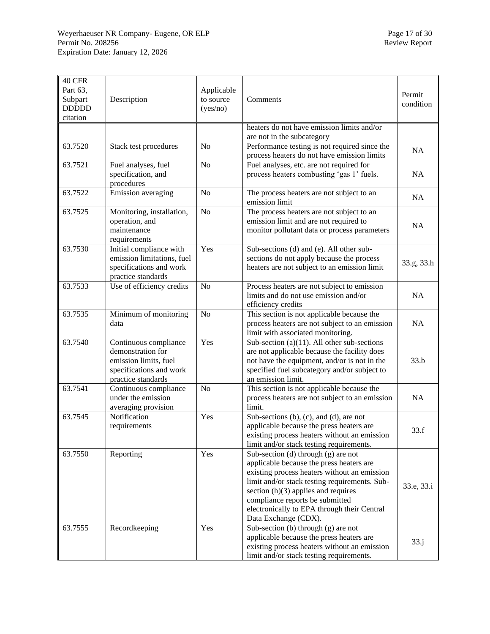| 40 CFR<br>Part 63,<br>Subpart<br><b>DDDDD</b><br>citation | Description                                                                                                          | Applicable<br>to source<br>(yes/no) | Comments                                                                                                                                                                                                                                                                                                                              | Permit<br>condition |
|-----------------------------------------------------------|----------------------------------------------------------------------------------------------------------------------|-------------------------------------|---------------------------------------------------------------------------------------------------------------------------------------------------------------------------------------------------------------------------------------------------------------------------------------------------------------------------------------|---------------------|
|                                                           |                                                                                                                      |                                     | heaters do not have emission limits and/or<br>are not in the subcategory                                                                                                                                                                                                                                                              |                     |
| 63.7520                                                   | Stack test procedures                                                                                                | N <sub>o</sub>                      | Performance testing is not required since the<br>process heaters do not have emission limits                                                                                                                                                                                                                                          | NA                  |
| 63.7521                                                   | Fuel analyses, fuel<br>specification, and<br>procedures                                                              | N <sub>o</sub>                      | Fuel analyses, etc. are not required for<br>process heaters combusting 'gas 1' fuels.                                                                                                                                                                                                                                                 | NA                  |
| 63.7522                                                   | Emission averaging                                                                                                   | N <sub>o</sub>                      | The process heaters are not subject to an<br>emission limit                                                                                                                                                                                                                                                                           | <b>NA</b>           |
| 63.7525                                                   | Monitoring, installation,<br>operation, and<br>maintenance<br>requirements                                           | N <sub>o</sub>                      | The process heaters are not subject to an<br>emission limit and are not required to<br>monitor pollutant data or process parameters                                                                                                                                                                                                   | <b>NA</b>           |
| 63.7530                                                   | Initial compliance with<br>emission limitations, fuel<br>specifications and work<br>practice standards               | Yes                                 | Sub-sections (d) and (e). All other sub-<br>sections do not apply because the process<br>heaters are not subject to an emission limit                                                                                                                                                                                                 | 33.g, 33.h          |
| 63.7533                                                   | Use of efficiency credits                                                                                            | N <sub>o</sub>                      | Process heaters are not subject to emission<br>limits and do not use emission and/or<br>efficiency credits                                                                                                                                                                                                                            | <b>NA</b>           |
| 63.7535                                                   | Minimum of monitoring<br>data                                                                                        | N <sub>o</sub>                      | This section is not applicable because the<br>process heaters are not subject to an emission<br>limit with associated monitoring.                                                                                                                                                                                                     | <b>NA</b>           |
| 63.7540                                                   | Continuous compliance<br>demonstration for<br>emission limits, fuel<br>specifications and work<br>practice standards | Yes                                 | Sub-section (a) $(11)$ . All other sub-sections<br>are not applicable because the facility does<br>not have the equipment, and/or is not in the<br>specified fuel subcategory and/or subject to<br>an emission limit.                                                                                                                 | 33.b                |
| 63.7541                                                   | Continuous compliance<br>under the emission<br>averaging provision                                                   | N <sub>o</sub>                      | This section is not applicable because the<br>process heaters are not subject to an emission<br>limit.                                                                                                                                                                                                                                | NA                  |
| 63.7545                                                   | Notification<br>requirements                                                                                         | Yes                                 | Sub-sections $(b)$ , $(c)$ , and $(d)$ , are not<br>applicable because the press heaters are<br>existing process heaters without an emission<br>limit and/or stack testing requirements.                                                                                                                                              | 33.f                |
| 63.7550                                                   | Reporting                                                                                                            | Yes                                 | Sub-section (d) through $(g)$ are not<br>applicable because the press heaters are<br>existing process heaters without an emission<br>limit and/or stack testing requirements. Sub-<br>section $(h)(3)$ applies and requires<br>compliance reports be submitted<br>electronically to EPA through their Central<br>Data Exchange (CDX). | 33.e, 33.i          |
| 63.7555                                                   | Recordkeeping                                                                                                        | Yes                                 | Sub-section (b) through (g) are not<br>applicable because the press heaters are<br>existing process heaters without an emission<br>limit and/or stack testing requirements.                                                                                                                                                           | 33. j               |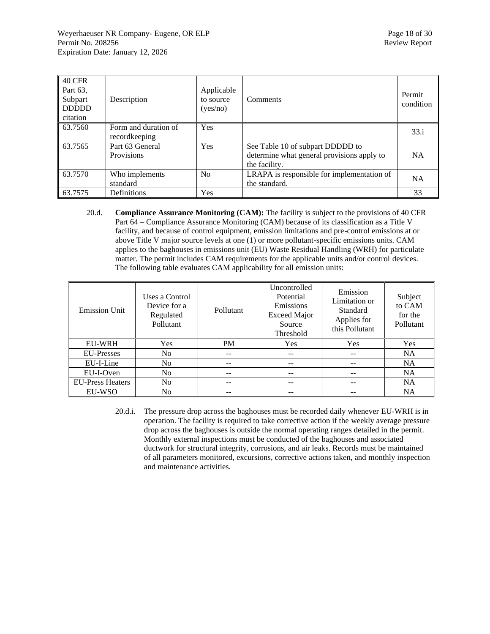| <b>40 CFR</b><br>Part 63,<br>Subpart<br><b>DDDDD</b><br>citation | Description                           | Applicable<br>to source<br>(yes/no) | Comments                                                                                        | Permit<br>condition |
|------------------------------------------------------------------|---------------------------------------|-------------------------------------|-------------------------------------------------------------------------------------------------|---------------------|
| 63.7560                                                          | Form and duration of<br>recordkeeping | Yes                                 |                                                                                                 | 33.i                |
| 63.7565                                                          | Part 63 General<br>Provisions         | Yes                                 | See Table 10 of subpart DDDDD to<br>determine what general provisions apply to<br>the facility. | <b>NA</b>           |
| 63.7570                                                          | Who implements<br>standard            | N <sub>0</sub>                      | LRAPA is responsible for implementation of<br>the standard.                                     | <b>NA</b>           |
| 63.7575                                                          | Definitions                           | <b>Yes</b>                          |                                                                                                 | 33                  |

20.d. **Compliance Assurance Monitoring (CAM):** The facility is subject to the provisions of 40 CFR Part 64 – Compliance Assurance Monitoring (CAM) because of its classification as a Title V facility, and because of control equipment, emission limitations and pre-control emissions at or above Title V major source levels at one (1) or more pollutant-specific emissions units. CAM applies to the baghouses in emissions unit (EU) Waste Residual Handling (WRH) for particulate matter. The permit includes CAM requirements for the applicable units and/or control devices. The following table evaluates CAM applicability for all emission units:

| <b>Emission Unit</b>    | Uses a Control<br>Device for a<br>Regulated<br>Pollutant | Pollutant | Uncontrolled<br>Potential<br>Emissions<br><b>Exceed Major</b><br>Source<br>Threshold | Emission<br>Limitation or<br>Standard<br>Applies for<br>this Pollutant | Subject<br>to CAM<br>for the<br>Pollutant |
|-------------------------|----------------------------------------------------------|-----------|--------------------------------------------------------------------------------------|------------------------------------------------------------------------|-------------------------------------------|
| <b>EU-WRH</b>           | <b>Yes</b>                                               | <b>PM</b> | <b>Yes</b>                                                                           | Yes                                                                    | <b>Yes</b>                                |
| <b>EU-Presses</b>       | N <sub>0</sub>                                           | --        | --                                                                                   | --                                                                     | <b>NA</b>                                 |
| EU-I-Line               | N <sub>0</sub>                                           | --        |                                                                                      |                                                                        | NA.                                       |
| EU-I-Oven               | N <sub>0</sub>                                           |           |                                                                                      |                                                                        | <b>NA</b>                                 |
| <b>EU-Press Heaters</b> | N <sub>0</sub>                                           |           |                                                                                      |                                                                        | <b>NA</b>                                 |
| EU-WSO                  | N <sub>0</sub>                                           |           |                                                                                      |                                                                        | <b>NA</b>                                 |

20.d.i. The pressure drop across the baghouses must be recorded daily whenever EU-WRH is in operation. The facility is required to take corrective action if the weekly average pressure drop across the baghouses is outside the normal operating ranges detailed in the permit. Monthly external inspections must be conducted of the baghouses and associated ductwork for structural integrity, corrosions, and air leaks. Records must be maintained of all parameters monitored, excursions, corrective actions taken, and monthly inspection and maintenance activities.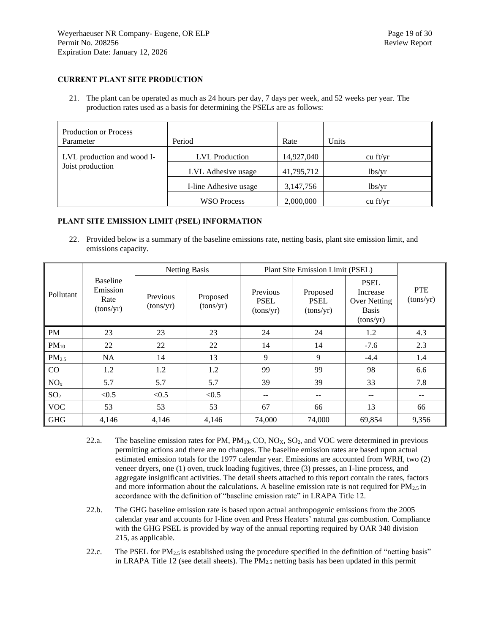#### <span id="page-18-0"></span>**CURRENT PLANT SITE PRODUCTION**

21. The plant can be operated as much as 24 hours per day, 7 days per week, and 52 weeks per year. The production rates used as a basis for determining the PSELs are as follows:

| <b>Production or Process</b><br>Parameter      | Period                | Rate       | Units      |
|------------------------------------------------|-----------------------|------------|------------|
| LVL production and wood I-<br>Joist production | <b>LVL</b> Production | 14,927,040 | $cu$ ft/yr |
|                                                | LVL Adhesive usage    | 41,795,712 | lbs/vr     |
|                                                | I-line Adhesive usage | 3,147,756  | lbs/yr     |
|                                                | <b>WSO Process</b>    | 2,000,000  | $cu$ ft/yr |

#### <span id="page-18-1"></span>**PLANT SITE EMISSION LIMIT (PSEL) INFORMATION**

22. Provided below is a summary of the baseline emissions rate, netting basis, plant site emission limit, and emissions capacity.

|                   |                                                  | <b>Netting Basis</b>  |                       | <b>Plant Site Emission Limit (PSEL)</b> |                                      |                                                                             |                         |
|-------------------|--------------------------------------------------|-----------------------|-----------------------|-----------------------------------------|--------------------------------------|-----------------------------------------------------------------------------|-------------------------|
| Pollutant         | <b>Baseline</b><br>Emission<br>Rate<br>(tons/yr) | Previous<br>(tons/yr) | Proposed<br>(tons/yr) | Previous<br><b>PSEL</b><br>(tons/yr)    | Proposed<br><b>PSEL</b><br>(tons/yr) | <b>PSEL</b><br>Increase<br><b>Over Netting</b><br><b>Basis</b><br>(tons/yr) | <b>PTE</b><br>(tons/yr) |
| <b>PM</b>         | 23                                               | 23                    | 23                    | 24                                      | 24                                   | 1.2                                                                         | 4.3                     |
| $PM_{10}$         | 22                                               | 22                    | 22                    | 14                                      | 14                                   | $-7.6$                                                                      | 2.3                     |
| PM <sub>2.5</sub> | NA                                               | 14                    | 13                    | 9                                       | 9                                    | $-4.4$                                                                      | 1.4                     |
| CO                | 1.2                                              | 1.2                   | 1.2                   | 99                                      | 99                                   | 98                                                                          | 6.6                     |
| NO <sub>x</sub>   | 5.7                                              | 5.7                   | 5.7                   | 39                                      | 39                                   | 33                                                                          | 7.8                     |
| SO <sub>2</sub>   | < 0.5                                            | < 0.5                 | < 0.5                 | $- -$                                   | $- -$                                | $- -$                                                                       | --                      |
| <b>VOC</b>        | 53                                               | 53                    | 53                    | 67                                      | 66                                   | 13                                                                          | 66                      |
| <b>GHG</b>        | 4,146                                            | 4,146                 | 4,146                 | 74,000                                  | 74,000                               | 69,854                                                                      | 9,356                   |

- 22.a. The baseline emission rates for PM,  $PM_{10}$ , CO, NO<sub>X</sub>, SO<sub>2</sub>, and VOC were determined in previous permitting actions and there are no changes. The baseline emission rates are based upon actual estimated emission totals for the 1977 calendar year. Emissions are accounted from WRH, two (2) veneer dryers, one (1) oven, truck loading fugitives, three (3) presses, an I-line process, and aggregate insignificant activities. The detail sheets attached to this report contain the rates, factors and more information about the calculations. A baseline emission rate is not required for  $PM_{2.5}$  in accordance with the definition of "baseline emission rate" in LRAPA Title 12.
- 22.b. The GHG baseline emission rate is based upon actual anthropogenic emissions from the 2005 calendar year and accounts for I-line oven and Press Heaters' natural gas combustion. Compliance with the GHG PSEL is provided by way of the annual reporting required by OAR 340 division 215, as applicable.
- 22.c. The PSEL for  $PM_{2.5}$  is established using the procedure specified in the definition of "netting basis" in LRAPA Title 12 (see detail sheets). The  $PM_{2.5}$  netting basis has been updated in this permit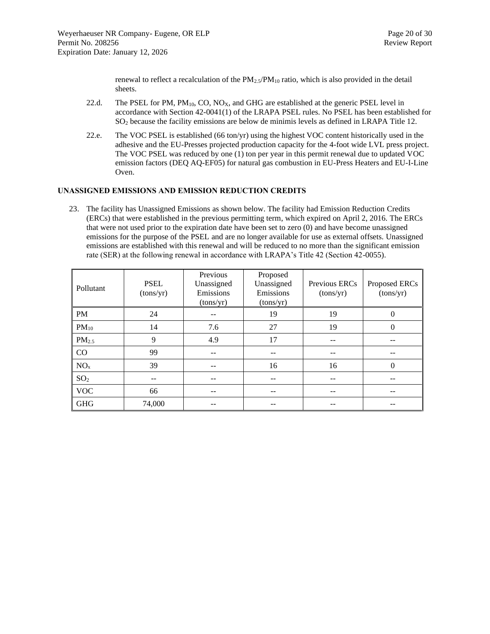renewal to reflect a recalculation of the  $PM_{2.5}/PM_{10}$  ratio, which is also provided in the detail sheets.

- 22.d. The PSEL for PM,  $PM_{10}$ , CO, NO<sub>X</sub>, and GHG are established at the generic PSEL level in accordance with Section 42-0041(1) of the LRAPA PSEL rules. No PSEL has been established for SO<sup>2</sup> because the facility emissions are below de minimis levels as defined in LRAPA Title 12.
- 22.e. The VOC PSEL is established (66 ton/yr) using the highest VOC content historically used in the adhesive and the EU-Presses projected production capacity for the 4-foot wide LVL press project. The VOC PSEL was reduced by one (1) ton per year in this permit renewal due to updated VOC emission factors (DEQ AQ-EF05) for natural gas combustion in EU-Press Heaters and EU-I-Line Oven.

#### <span id="page-19-0"></span>**UNASSIGNED EMISSIONS AND EMISSION REDUCTION CREDITS**

23. The facility has Unassigned Emissions as shown below. The facility had Emission Reduction Credits (ERCs) that were established in the previous permitting term, which expired on April 2, 2016*.* The ERCs that were not used prior to the expiration date have been set to zero (0) and have become unassigned emissions for the purpose of the PSEL and are no longer available for use as external offsets. Unassigned emissions are established with this renewal and will be reduced to no more than the significant emission rate (SER) at the following renewal in accordance with LRAPA's Title 42 (Section 42-0055).

| Pollutant         | <b>PSEL</b><br>(tons/yr) | Previous<br>Unassigned<br>Emissions<br>(tons/yr) | Proposed<br>Unassigned<br>Emissions<br>(tons/yr) | Previous ERCs<br>(tons/yr) | Proposed ERCs<br>(tons/yr) |
|-------------------|--------------------------|--------------------------------------------------|--------------------------------------------------|----------------------------|----------------------------|
| <b>PM</b>         | 24                       |                                                  | 19                                               | 19                         | $\theta$                   |
| $PM_{10}$         | 14                       | 7.6                                              | 27                                               | 19                         | 0                          |
| PM <sub>2.5</sub> | 9                        | 4.9                                              | 17                                               |                            |                            |
| CO                | 99                       |                                                  |                                                  |                            |                            |
| NO <sub>x</sub>   | 39                       |                                                  | 16                                               | 16                         | $\theta$                   |
| SO <sub>2</sub>   |                          |                                                  |                                                  |                            |                            |
| <b>VOC</b>        | 66                       |                                                  | --                                               |                            |                            |
| <b>GHG</b>        | 74,000                   |                                                  |                                                  |                            |                            |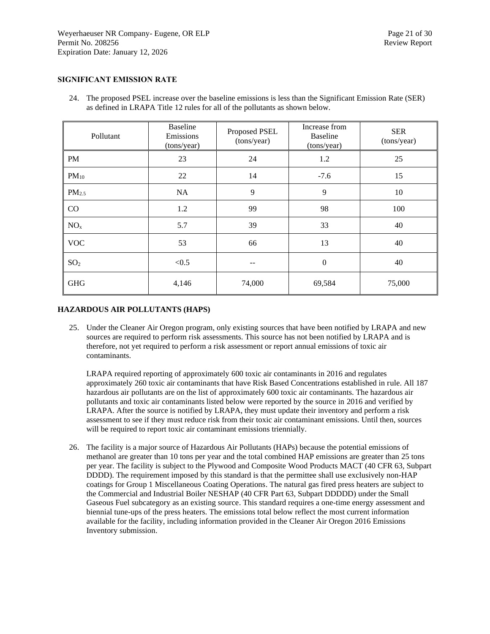#### <span id="page-20-0"></span>**SIGNIFICANT EMISSION RATE**

24. The proposed PSEL increase over the baseline emissions is less than the Significant Emission Rate (SER) as defined in LRAPA Title 12 rules for all of the pollutants as shown below.

| Pollutant         | <b>Baseline</b><br>Emissions<br>(tons/year) | Proposed PSEL<br>(tons/year) | Increase from<br><b>Baseline</b><br>(tons/year) | <b>SER</b><br>(tons/year) |
|-------------------|---------------------------------------------|------------------------------|-------------------------------------------------|---------------------------|
| <b>PM</b>         | 23                                          | 24                           | 1.2                                             | 25                        |
| $PM_{10}$         | 22                                          | 14                           | $-7.6$                                          | 15                        |
| PM <sub>2.5</sub> | <b>NA</b>                                   | 9                            | 9                                               | 10                        |
| CO                | 1.2                                         | 99                           | 98                                              | 100                       |
| NO <sub>x</sub>   | 5.7                                         | 39                           | 33                                              | 40                        |
| <b>VOC</b>        | 53                                          | 66                           | 13                                              | 40                        |
| SO <sub>2</sub>   | < 0.5                                       | --                           | $\boldsymbol{0}$                                | 40                        |
| <b>GHG</b>        | 4,146                                       | 74,000                       | 69,584                                          | 75,000                    |

#### <span id="page-20-1"></span>**HAZARDOUS AIR POLLUTANTS (HAPS)**

25. Under the Cleaner Air Oregon program, only existing sources that have been notified by LRAPA and new sources are required to perform risk assessments. This source has not been notified by LRAPA and is therefore, not yet required to perform a risk assessment or report annual emissions of toxic air contaminants.

LRAPA required reporting of approximately 600 toxic air contaminants in 2016 and regulates approximately 260 toxic air contaminants that have Risk Based Concentrations established in rule. All 187 hazardous air pollutants are on the list of approximately 600 toxic air contaminants. The hazardous air pollutants and toxic air contaminants listed below were reported by the source in 2016 and verified by LRAPA. After the source is notified by LRAPA, they must update their inventory and perform a risk assessment to see if they must reduce risk from their toxic air contaminant emissions. Until then, sources will be required to report toxic air contaminant emissions triennially.

26. The facility is a major source of Hazardous Air Pollutants (HAPs) because the potential emissions of methanol are greater than 10 tons per year and the total combined HAP emissions are greater than 25 tons per year. The facility is subject to the Plywood and Composite Wood Products MACT (40 CFR 63, Subpart DDDD). The requirement imposed by this standard is that the permittee shall use exclusively non-HAP coatings for Group 1 Miscellaneous Coating Operations. The natural gas fired press heaters are subject to the Commercial and Industrial Boiler NESHAP (40 CFR Part 63, Subpart DDDDD) under the Small Gaseous Fuel subcategory as an existing source. This standard requires a one-time energy assessment and biennial tune-ups of the press heaters. The emissions total below reflect the most current information available for the facility, including information provided in the Cleaner Air Oregon 2016 Emissions Inventory submission.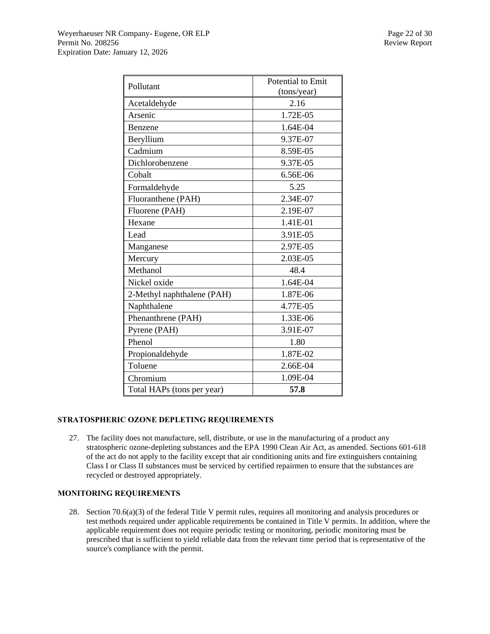| Pollutant                  | Potential to Emit |
|----------------------------|-------------------|
|                            | (tons/year)       |
| Acetaldehyde               | 2.16              |
| Arsenic                    | 1.72E-05          |
| Benzene                    | 1.64E-04          |
| Beryllium                  | 9.37E-07          |
| Cadmium                    | 8.59E-05          |
| Dichlorobenzene            | 9.37E-05          |
| Cobalt                     | 6.56E-06          |
| Formaldehyde               | 5.25              |
| Fluoranthene (PAH)         | 2.34E-07          |
| Fluorene (PAH)             | 2.19E-07          |
| Hexane                     | 1.41E-01          |
| Lead                       | 3.91E-05          |
| Manganese                  | 2.97E-05          |
| Mercury                    | 2.03E-05          |
| Methanol                   | 48.4              |
| Nickel oxide               | 1.64E-04          |
| 2-Methyl naphthalene (PAH) | 1.87E-06          |
| Naphthalene                | 4.77E-05          |
| Phenanthrene (PAH)         | 1.33E-06          |
| Pyrene (PAH)               | 3.91E-07          |
| Phenol                     | 1.80              |
| Propionaldehyde            | 1.87E-02          |
| Toluene                    | 2.66E-04          |
| Chromium                   | 1.09E-04          |
| Total HAPs (tons per year) | 57.8              |

# <span id="page-21-0"></span>**STRATOSPHERIC OZONE DEPLETING REQUIREMENTS**

27. The facility does not manufacture, sell, distribute, or use in the manufacturing of a product any stratospheric ozone-depleting substances and the EPA 1990 Clean Air Act, as amended. Sections 601-618 of the act do not apply to the facility except that air conditioning units and fire extinguishers containing Class I or Class II substances must be serviced by certified repairmen to ensure that the substances are recycled or destroyed appropriately.

# <span id="page-21-1"></span>**MONITORING REQUIREMENTS**

28. Section 70.6(a)(3) of the federal Title V permit rules, requires all monitoring and analysis procedures or test methods required under applicable requirements be contained in Title V permits. In addition, where the applicable requirement does not require periodic testing or monitoring, periodic monitoring must be prescribed that is sufficient to yield reliable data from the relevant time period that is representative of the source's compliance with the permit.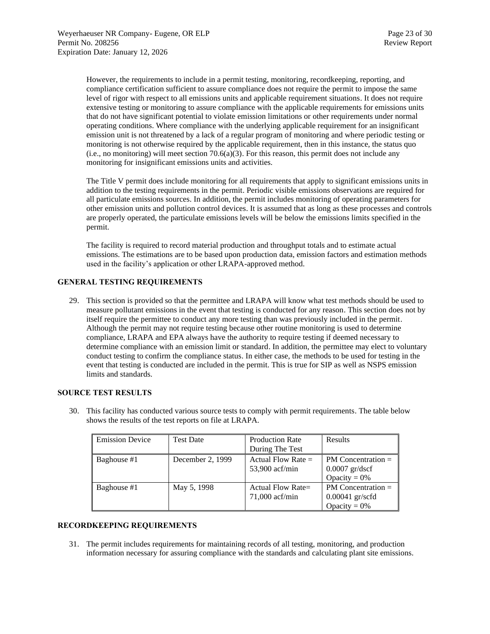However, the requirements to include in a permit testing, monitoring, recordkeeping, reporting, and compliance certification sufficient to assure compliance does not require the permit to impose the same level of rigor with respect to all emissions units and applicable requirement situations. It does not require extensive testing or monitoring to assure compliance with the applicable requirements for emissions units that do not have significant potential to violate emission limitations or other requirements under normal operating conditions. Where compliance with the underlying applicable requirement for an insignificant emission unit is not threatened by a lack of a regular program of monitoring and where periodic testing or monitoring is not otherwise required by the applicable requirement, then in this instance, the status quo  $(i.e., no monitoring) will meet section 70.6(a)(3). For this reason, this permit does not include any$ monitoring for insignificant emissions units and activities.

The Title V permit does include monitoring for all requirements that apply to significant emissions units in addition to the testing requirements in the permit. Periodic visible emissions observations are required for all particulate emissions sources. In addition, the permit includes monitoring of operating parameters for other emission units and pollution control devices. It is assumed that as long as these processes and controls are properly operated, the particulate emissions levels will be below the emissions limits specified in the permit.

The facility is required to record material production and throughput totals and to estimate actual emissions. The estimations are to be based upon production data, emission factors and estimation methods used in the facility's application or other LRAPA-approved method.

# <span id="page-22-0"></span>**GENERAL TESTING REQUIREMENTS**

29. This section is provided so that the permittee and LRAPA will know what test methods should be used to measure pollutant emissions in the event that testing is conducted for any reason. This section does not by itself require the permittee to conduct any more testing than was previously included in the permit. Although the permit may not require testing because other routine monitoring is used to determine compliance, LRAPA and EPA always have the authority to require testing if deemed necessary to determine compliance with an emission limit or standard. In addition, the permittee may elect to voluntary conduct testing to confirm the compliance status. In either case, the methods to be used for testing in the event that testing is conducted are included in the permit. This is true for SIP as well as NSPS emission limits and standards.

#### <span id="page-22-1"></span>**SOURCE TEST RESULTS**

30. This facility has conducted various source tests to comply with permit requirements. The table below shows the results of the test reports on file at LRAPA.

| <b>Emission Device</b> | <b>Test Date</b> | <b>Production Rate</b>                   | Results                                                        |
|------------------------|------------------|------------------------------------------|----------------------------------------------------------------|
|                        |                  | During The Test                          |                                                                |
| Baghouse #1            | December 2, 1999 | Actual Flow Rate $=$<br>53,900 acf/min   | $PM$ Concentration $=$<br>$0.0007$ gr/dscf                     |
|                        |                  |                                          | Opacity = $0\%$                                                |
| Baghouse #1            | May 5, 1998      | Actual Flow Rate $=$<br>$71,000$ acf/min | $PM$ Concentration $=$<br>$0.00041$ gr/scfd<br>Opacity = $0\%$ |

#### <span id="page-22-2"></span>**RECORDKEEPING REQUIREMENTS**

31. The permit includes requirements for maintaining records of all testing, monitoring, and production information necessary for assuring compliance with the standards and calculating plant site emissions.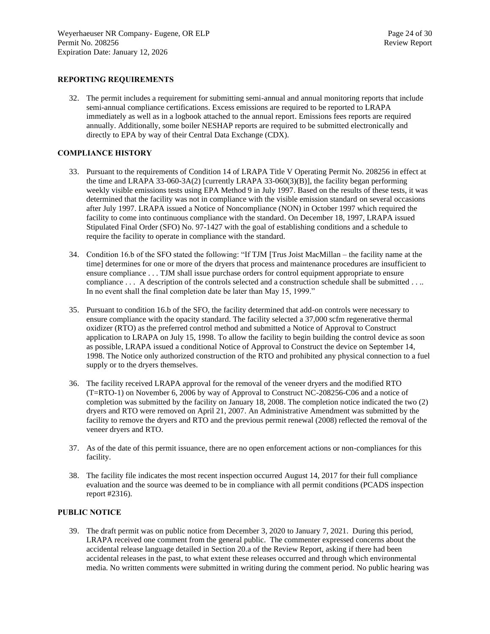#### <span id="page-23-0"></span>**REPORTING REQUIREMENTS**

32. The permit includes a requirement for submitting semi-annual and annual monitoring reports that include semi-annual compliance certifications. Excess emissions are required to be reported to LRAPA immediately as well as in a logbook attached to the annual report. Emissions fees reports are required annually. Additionally, some boiler NESHAP reports are required to be submitted electronically and directly to EPA by way of their Central Data Exchange (CDX).

#### <span id="page-23-1"></span>**COMPLIANCE HISTORY**

- 33. Pursuant to the requirements of Condition 14 of LRAPA Title V Operating Permit No. 208256 in effect at the time and LRAPA 33-060-3A(2) [currently LRAPA 33-060(3)(B)], the facility began performing weekly visible emissions tests using EPA Method 9 in July 1997. Based on the results of these tests, it was determined that the facility was not in compliance with the visible emission standard on several occasions after July 1997. LRAPA issued a Notice of Noncompliance (NON) in October 1997 which required the facility to come into continuous compliance with the standard. On December 18, 1997, LRAPA issued Stipulated Final Order (SFO) No. 97-1427 with the goal of establishing conditions and a schedule to require the facility to operate in compliance with the standard.
- 34. Condition 16.b of the SFO stated the following: "If TJM [Trus Joist MacMillan the facility name at the time] determines for one or more of the dryers that process and maintenance procedures are insufficient to ensure compliance . . . TJM shall issue purchase orders for control equipment appropriate to ensure compliance . . . A description of the controls selected and a construction schedule shall be submitted . . .. In no event shall the final completion date be later than May 15, 1999."
- 35. Pursuant to condition 16.b of the SFO, the facility determined that add-on controls were necessary to ensure compliance with the opacity standard. The facility selected a 37,000 scfm regenerative thermal oxidizer (RTO) as the preferred control method and submitted a Notice of Approval to Construct application to LRAPA on July 15, 1998. To allow the facility to begin building the control device as soon as possible, LRAPA issued a conditional Notice of Approval to Construct the device on September 14, 1998. The Notice only authorized construction of the RTO and prohibited any physical connection to a fuel supply or to the dryers themselves.
- 36. The facility received LRAPA approval for the removal of the veneer dryers and the modified RTO (T=RTO-1) on November 6, 2006 by way of Approval to Construct NC-208256-C06 and a notice of completion was submitted by the facility on January 18, 2008. The completion notice indicated the two (2) dryers and RTO were removed on April 21, 2007. An Administrative Amendment was submitted by the facility to remove the dryers and RTO and the previous permit renewal (2008) reflected the removal of the veneer dryers and RTO.
- 37. As of the date of this permit issuance, there are no open enforcement actions or non-compliances for this facility.
- 38. The facility file indicates the most recent inspection occurred August 14, 2017 for their full compliance evaluation and the source was deemed to be in compliance with all permit conditions (PCADS inspection report #2316).

#### <span id="page-23-2"></span>**PUBLIC NOTICE**

39. The draft permit was on public notice from December 3, 2020 to January 7, 2021. During this period, LRAPA received one comment from the general public. The commenter expressed concerns about the accidental release language detailed in Section 20.a of the Review Report, asking if there had been accidental releases in the past, to what extent these releases occurred and through which environmental media. No written comments were submitted in writing during the comment period. No public hearing was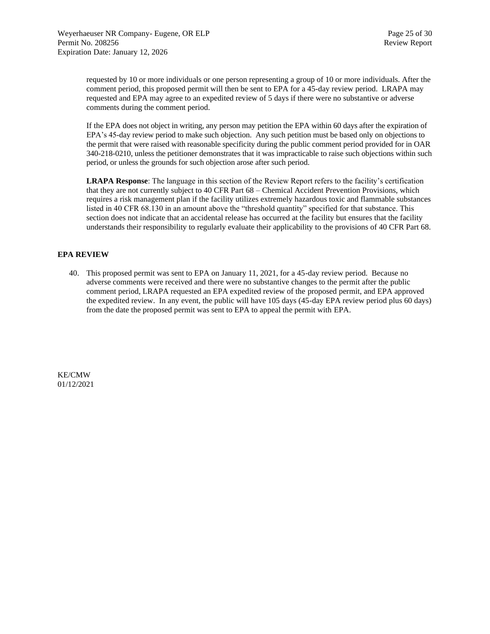requested by 10 or more individuals or one person representing a group of 10 or more individuals. After the comment period, this proposed permit will then be sent to EPA for a 45-day review period. LRAPA may requested and EPA may agree to an expedited review of 5 days if there were no substantive or adverse comments during the comment period.

If the EPA does not object in writing, any person may petition the EPA within 60 days after the expiration of EPA's 45-day review period to make such objection. Any such petition must be based only on objections to the permit that were raised with reasonable specificity during the public comment period provided for in OAR 340-218-0210, unless the petitioner demonstrates that it was impracticable to raise such objections within such period, or unless the grounds for such objection arose after such period.

**LRAPA Response**: The language in this section of the Review Report refers to the facility's certification that they are not currently subject to 40 CFR Part 68 – Chemical Accident Prevention Provisions, which requires a risk management plan if the facility utilizes extremely hazardous toxic and flammable substances listed in 40 CFR 68.130 in an amount above the "threshold quantity" specified for that substance. This section does not indicate that an accidental release has occurred at the facility but ensures that the facility understands their responsibility to regularly evaluate their applicability to the provisions of 40 CFR Part 68.

#### **EPA REVIEW**

40. This proposed permit was sent to EPA on January 11, 2021, for a 45-day review period. Because no adverse comments were received and there were no substantive changes to the permit after the public comment period, LRAPA requested an EPA expedited review of the proposed permit, and EPA approved the expedited review. In any event, the public will have 105 days (45-day EPA review period plus 60 days) from the date the proposed permit was sent to EPA to appeal the permit with EPA.

KE/CMW 01/12/2021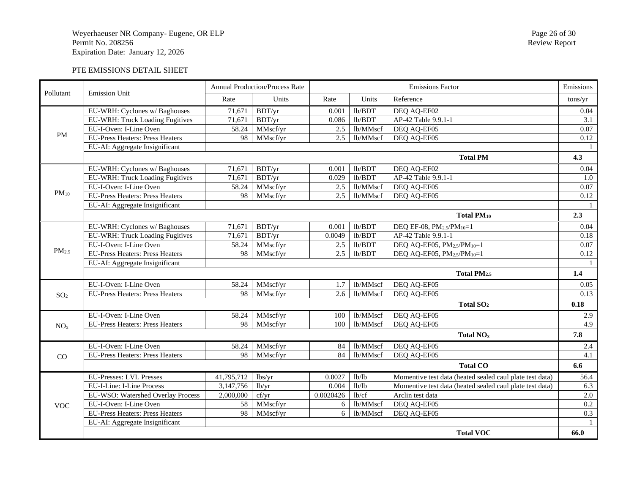# PTE EMISSIONS DETAIL SHEET

<span id="page-25-0"></span>

| Pollutant         | <b>Emission Unit</b>                   |            | <b>Annual Production/Process Rate</b> |           |          | <b>Emissions Factor</b>                                  |                  |
|-------------------|----------------------------------------|------------|---------------------------------------|-----------|----------|----------------------------------------------------------|------------------|
|                   |                                        | Rate       | Units                                 | Rate      | Units    | Reference                                                | tons/yr          |
|                   | EU-WRH: Cyclones w/ Baghouses          | 71,671     | BDT/yr                                | 0.001     | lb/BDT   | DEQ AQ-EF02                                              | 0.04             |
|                   | EU-WRH: Truck Loading Fugitives        | 71,671     | BDT/yr                                | 0.086     | lb/BDT   | AP-42 Table 9.9.1-1                                      | 3.1              |
|                   | EU-I-Oven: I-Line Oven                 | 58.24      | MMscf/yr                              | 2.5       | lb/MMscf | DEQ AQ-EF05                                              | 0.07             |
| <b>PM</b>         | <b>EU-Press Heaters: Press Heaters</b> | 98         | MMscf/yr                              | 2.5       | lb/MMscf | DEQ AQ-EF05                                              | 0.12             |
|                   | EU-AI: Aggregate Insignificant         |            |                                       |           |          |                                                          |                  |
|                   |                                        |            |                                       |           |          | <b>Total PM</b>                                          | 4.3              |
|                   | EU-WRH: Cyclones w/ Baghouses          | 71,671     | BDT/yr                                | 0.001     | lb/BDT   | DEQ AQ-EF02                                              | 0.04             |
|                   | EU-WRH: Truck Loading Fugitives        | 71,671     | BDT/yr                                | 0.029     | lb/BDT   | AP-42 Table 9.9.1-1                                      | 1.0              |
|                   | EU-I-Oven: I-Line Oven                 | 58.24      | MMscf/yr                              | 2.5       | lb/MMscf | DEQ AQ-EF05                                              | 0.07             |
| $PM_{10}$         | <b>EU-Press Heaters: Press Heaters</b> | 98         | MMscf/yr                              | 2.5       | lb/MMscf | DEQ AQ-EF05                                              | 0.12             |
|                   | EU-AI: Aggregate Insignificant         |            |                                       |           |          |                                                          |                  |
|                   |                                        |            |                                       |           |          | <b>Total PM10</b>                                        | 2.3              |
|                   | EU-WRH: Cyclones w/ Baghouses          | 71,671     | BDT/yr                                | 0.001     | lb/BDT   | DEQ EF-08, PM <sub>2.5</sub> /PM <sub>10</sub> =1        | 0.04             |
|                   | EU-WRH: Truck Loading Fugitives        | 71,671     | BDT/yr                                | 0.0049    | lb/BDT   | AP-42 Table 9.9.1-1                                      | 0.18             |
|                   | EU-I-Oven: I-Line Oven                 | 58.24      | MMscf/yr                              | 2.5       | lb/BDT   | DEQ AQ-EF05, PM2.5/PM10=1                                | 0.07             |
| PM <sub>2.5</sub> | <b>EU-Press Heaters: Press Heaters</b> | 98         | MMscf/yr                              | 2.5       | lb/BDT   | DEQ AQ-EF05, PM2.5/PM10=1                                | 0.12             |
|                   | EU-AI: Aggregate Insignificant         |            |                                       |           |          |                                                          |                  |
|                   |                                        |            |                                       |           |          | Total PM <sub>2.5</sub>                                  | 1.4              |
|                   | EU-I-Oven: I-Line Oven                 | 58.24      | MMscf/yr                              | 1.7       | lb/MMscf | DEQ AQ-EF05                                              | 0.05             |
| SO <sub>2</sub>   | <b>EU-Press Heaters: Press Heaters</b> | 98         | MMscf/yr                              | 2.6       | lb/MMscf | DEQ AQ-EF05                                              | 0.13             |
|                   |                                        |            |                                       |           |          | Total SO <sub>2</sub>                                    | 0.18             |
|                   | EU-I-Oven: I-Line Oven                 | 58.24      | MMscf/yr                              | 100       | lb/MMscf | DEQ AQ-EF05                                              | 2.9              |
| NO <sub>x</sub>   | <b>EU-Press Heaters: Press Heaters</b> | 98         | MMscf/yr                              | 100       | lb/MMscf | DEQ AQ-EF05                                              | 4.9              |
|                   |                                        |            |                                       |           |          | <b>Total NO<sub>x</sub></b>                              | 7.8              |
|                   | EU-I-Oven: I-Line Oven                 | 58.24      | MMscf/yr                              | 84        | lb/MMscf | DEQ AQ-EF05                                              | 2.4              |
| CO                | <b>EU-Press Heaters: Press Heaters</b> | 98         | MMscf/yr                              | 84        | lb/MMscf | DEQ AQ-EF05                                              | 4.1              |
|                   |                                        |            |                                       |           |          | <b>Total CO</b>                                          | 6.6              |
|                   | <b>EU-Presses: LVL Presses</b>         | 41,795,712 | lbs/yr                                | 0.0027    | 1b/1b    | Momentive test data (heated sealed caul plate test data) | 56.4             |
|                   | EU-I-Line: I-Line Process              | 3,147,756  | lb/yr                                 | 0.004     | lb/b     | Momentive test data (heated sealed caul plate test data) | 6.3              |
|                   | EU-WSO: Watershed Overlay Process      | 2,000,000  | cf/yr                                 | 0.0020426 | lb/cf    | Arclin test data                                         | $\overline{2.0}$ |
| <b>VOC</b>        | EU-I-Oven: I-Line Oven                 | 58         | MMscf/yr                              | 6         | lb/MMscf | DEQ AQ-EF05                                              | 0.2              |
|                   | <b>EU-Press Heaters: Press Heaters</b> | 98         | MMscf/yr                              | 6         | lb/MMscf | DEQ AQ-EF05                                              | 0.3              |
|                   | EU-AI: Aggregate Insignificant         |            |                                       |           |          |                                                          |                  |
|                   |                                        |            |                                       |           |          | <b>Total VOC</b>                                         | 66.0             |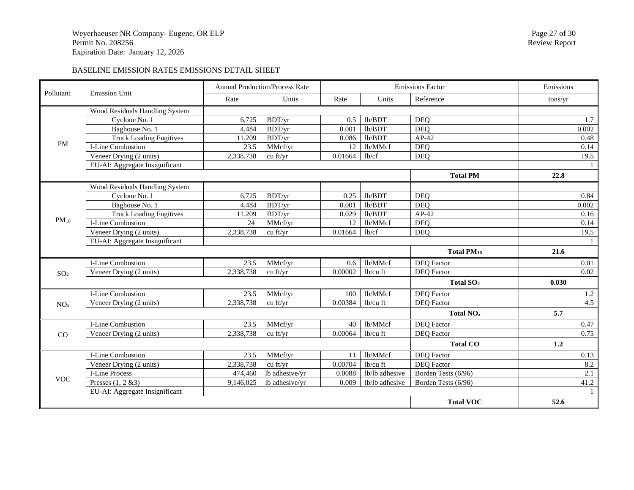# BASELINE EMISSION RATES EMISSIONS DETAIL SHEET

| Pollutant       | <b>Emission Unit</b>           |           | <b>Annual Production/Process Rate</b> |         |                | <b>Emissions Factor</b> | Emissions        |
|-----------------|--------------------------------|-----------|---------------------------------------|---------|----------------|-------------------------|------------------|
|                 |                                |           | Units                                 | Rate    | Units          | Reference               | tons/yr          |
|                 | Wood Residuals Handling System |           |                                       |         |                |                         |                  |
|                 | Cyclone No. 1                  | 6.725     | BDT/yr                                | 0.5     | lb/BDT         | <b>DEO</b>              | 1.7              |
|                 | Baghouse No. 1                 | 4,484     | BDT/yr                                | 0.001   | lb/BDT         | <b>DEO</b>              | 0.002            |
|                 | <b>Truck Loading Fugitives</b> | 11,209    | BDT/yr                                | 0.086   | lb/BDT         | $AP-42$                 | 0.48             |
| <b>PM</b>       | I-Line Combustion              | 23.5      | MMcf/yr                               | 12      | lb/MMcf        | <b>DEQ</b>              | 0.14             |
|                 | Veneer Drying (2 units)        | 2,338,738 | cu ft/yr                              | 0.01664 | lb/cf          | <b>DEQ</b>              | 19.5             |
|                 | EU-AI: Aggregate Insignificant |           |                                       |         |                |                         |                  |
|                 |                                |           |                                       |         |                | <b>Total PM</b>         | 22.8             |
|                 | Wood Residuals Handling System |           |                                       |         |                |                         |                  |
|                 | Cyclone No. 1                  | 6,725     | BDT/yr                                | 0.25    | lb/BDT         | <b>DEQ</b>              | 0.84             |
|                 | Baghouse No. 1                 | 4,484     | BDT/yr                                | 0.001   | lb/BDT         | <b>DEO</b>              | 0.002            |
|                 | <b>Truck Loading Fugitives</b> | 11,209    | BDT/yr                                | 0.029   | lb/BDT         | $AP-42$                 | 0.16             |
| $PM_{10}$       | I-Line Combustion              | 24        | MMcf/yr                               | 12      | lb/MMcf        | <b>DEQ</b>              | 0.14             |
|                 | Veneer Drying (2 units)        | 2,338,738 | cu ft/yr                              | 0.01664 | lb/cf          | <b>DEQ</b>              | 19.5             |
|                 | EU-AI: Aggregate Insignificant |           |                                       |         |                |                         |                  |
|                 |                                |           |                                       |         |                | <b>Total PM10</b>       | 21.6             |
|                 | I-Line Combustion              | 23.5      | MMcf/yr                               | 0.6     | lb/MMcf        | <b>DEQ</b> Factor       | 0.01             |
| SO <sub>2</sub> | Veneer Drying (2 units)        | 2,338,738 | cu ft/yr                              | 0.00002 | lb/cu ft       | <b>DEQ</b> Factor       | 0.02             |
|                 |                                |           |                                       |         |                | Total SO <sub>2</sub>   | 0.030            |
|                 | I-Line Combustion              | 23.5      | MMcf/yr                               | 100     | lb/MMcf        | <b>DEQ</b> Factor       | $1.2\,$          |
| NO <sub>x</sub> | Veneer Drying (2 units)        | 2,338,738 | cu ft/vr                              | 0.00384 | $lb/cu$ ft     | <b>DEQ</b> Factor       | $\overline{4.5}$ |
|                 |                                |           |                                       |         |                | Total NO <sub>x</sub>   | 5.7              |
|                 | I-Line Combustion              | 23.5      | MMcf/yr                               | 40      | lb/MMcf        | <b>DEQ</b> Factor       | 0.47             |
| CO              | Veneer Drying (2 units)        | 2,338,738 | cu ft/yr                              | 0.00064 | lb/cu ft       | <b>DEQ</b> Factor       | 0.75             |
|                 |                                |           |                                       |         |                | <b>Total CO</b>         | 1.2              |
|                 | I-Line Combustion              | 23.5      | MMcf/yr                               | 11      | lb/MMcf        | <b>DEQ</b> Factor       | 0.13             |
|                 | Veneer Drying (2 units)        | 2,338,738 | cu ft/yr                              | 0.00704 | lb/cu ft       | <b>DEQ</b> Factor       | 8.2              |
|                 | <b>I-Line Process</b>          | 474,460   | lb adhesive/yr                        | 0.0088  | lb/lb adhesive | Borden Tests (6/96)     | 2.1              |
| <b>VOC</b>      | Presses $(1, 2 \& 3)$          | 9,146,025 | lb adhesive/yr                        | 0.009   | lb/lb adhesive | Borden Tests (6/96)     | 41.2             |
|                 | EU-AI: Aggregate Insignificant |           |                                       |         |                |                         |                  |
|                 |                                |           |                                       |         |                | <b>Total VOC</b>        | 52.6             |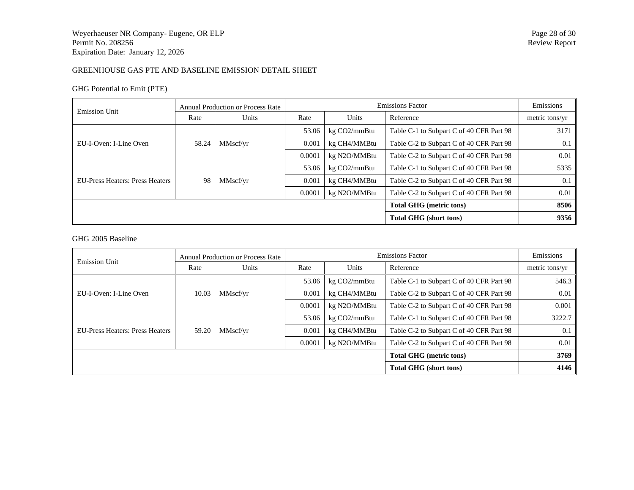# GREENHOUSE GAS PTE AND BASELINE EMISSION DETAIL SHEET

# GHG Potential to Emit (PTE)

| <b>Emission Unit</b>                   | <b>Annual Production or Process Rate</b> |                               |        | Emissions    |                                          |      |
|----------------------------------------|------------------------------------------|-------------------------------|--------|--------------|------------------------------------------|------|
|                                        | Rate                                     | Units<br>Units<br>Rate        |        | Reference    | metric tons/yr                           |      |
|                                        |                                          | MMscf/yr                      | 53.06  | kg CO2/mmBtu | Table C-1 to Subpart C of 40 CFR Part 98 | 3171 |
| EU-I-Oven: I-Line Oven                 | 58.24                                    |                               | 0.001  | kg CH4/MMBtu | Table C-2 to Subpart C of 40 CFR Part 98 | 0.1  |
|                                        |                                          |                               | 0.0001 | kg N2O/MMBtu | Table C-2 to Subpart C of 40 CFR Part 98 | 0.01 |
|                                        | 98                                       | MMscf/yr                      | 53.06  | kg CO2/mmBtu | Table C-1 to Subpart C of 40 CFR Part 98 | 5335 |
| <b>EU-Press Heaters: Press Heaters</b> |                                          |                               | 0.001  | kg CH4/MMBtu | Table C-2 to Subpart C of 40 CFR Part 98 | 0.1  |
|                                        |                                          |                               | 0.0001 | kg N2O/MMBtu | Table C-2 to Subpart C of 40 CFR Part 98 | 0.01 |
| <b>Total GHG</b> (metric tons)         |                                          |                               |        |              |                                          |      |
|                                        |                                          | <b>Total GHG (short tons)</b> | 9356   |              |                                          |      |

# GHG 2005 Baseline

| <b>Emission Unit</b>                   | <b>Annual Production or Process Rate</b> |          |        | <b>Emissions Factor</b>                                  |                                          |                |  |
|----------------------------------------|------------------------------------------|----------|--------|----------------------------------------------------------|------------------------------------------|----------------|--|
|                                        | Rate                                     | Units    | Rate   | Units                                                    | Reference                                | metric tons/yr |  |
| EU-I-Oven: I-Line Oven                 |                                          | MMscf/yr | 53.06  | kg CO2/mmBtu                                             | Table C-1 to Subpart C of 40 CFR Part 98 | 546.3          |  |
|                                        | 10.03                                    |          | 0.001  | Table C-2 to Subpart C of 40 CFR Part 98<br>kg CH4/MMBtu |                                          | 0.01           |  |
|                                        |                                          |          | 0.0001 | kg N2O/MMBtu                                             | Table C-2 to Subpart C of 40 CFR Part 98 | 0.001          |  |
|                                        | 59.20                                    | MMscf/yr | 53.06  | kg CO2/mmBtu                                             | Table C-1 to Subpart C of 40 CFR Part 98 | 3222.7         |  |
| <b>EU-Press Heaters: Press Heaters</b> |                                          |          | 0.001  | kg CH4/MMBtu                                             | Table C-2 to Subpart C of 40 CFR Part 98 | 0.1            |  |
|                                        |                                          |          | 0.0001 | kg N2O/MMBtu                                             | Table C-2 to Subpart C of 40 CFR Part 98 | 0.01           |  |
|                                        |                                          |          |        |                                                          | <b>Total GHG (metric tons)</b>           | 3769           |  |
| <b>Total GHG (short tons)</b>          |                                          |          |        |                                                          |                                          |                |  |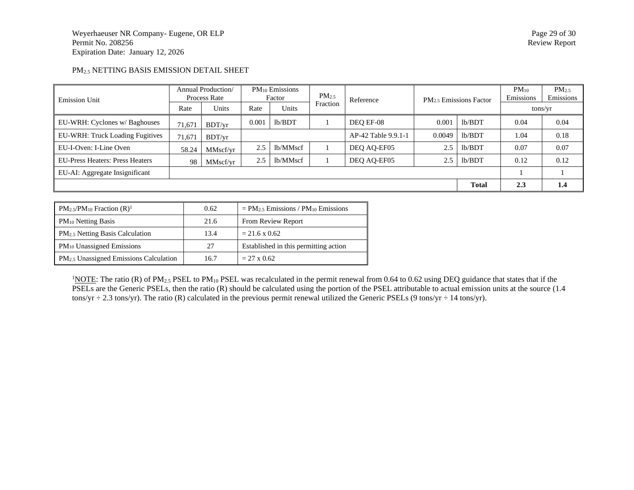### PM2.5 NETTING BASIS EMISSION DETAIL SHEET

| <b>Emission Unit</b>                   | Annual Production/<br>Process Rate |          | $PM_{10}$ Emissions<br>Factor |          | PM <sub>2.5</sub> | Reference           |        | PM <sub>2.5</sub> Emissions Factor | $PM_{10}$<br>Emissions | $PM_{2.5}$<br>Emissions |
|----------------------------------------|------------------------------------|----------|-------------------------------|----------|-------------------|---------------------|--------|------------------------------------|------------------------|-------------------------|
|                                        | Rate                               | Units    | Rate                          | Units    | Fraction          |                     |        |                                    | tons/yr                |                         |
| EU-WRH: Cyclones w/ Baghouses          | 71.671                             | BDT/vr   | 0.001                         | lb/BDT   |                   | DEO EF-08           | 0.001  | lb/BDT                             | 0.04                   | 0.04                    |
| EU-WRH: Truck Loading Fugitives        | 71,671                             | BDT/vr   |                               |          |                   | AP-42 Table 9.9.1-1 | 0.0049 | lb/BDT                             | 1.04                   | 0.18                    |
| EU-I-Oven: I-Line Oven                 | 58.24                              | MMscf/yr | 2.5                           | lb/MMscf |                   | DEQ AQ-EF05         | 2.5    | lb/BDT                             | 0.07                   | 0.07                    |
| <b>EU-Press Heaters: Press Heaters</b> | 98                                 | MMscf/vr | 2.5                           | lb/MMscf |                   | DEO AO-EF05         | 2.5    | lb/BDT                             | 0.12                   | 0.12                    |
| EU-AI: Aggregate Insignificant         |                                    |          |                               |          |                   |                     |        |                                    |                        |                         |
|                                        |                                    |          |                               |          |                   |                     |        | <b>Total</b>                       | 2.3                    | 1.4                     |

| $PM_{2.5}/PM_{10}$ Fraction $(R)^1$         | 0.62 | $= PM_{2.5}$ Emissions / PM <sub>10</sub> Emissions |
|---------------------------------------------|------|-----------------------------------------------------|
| PM <sub>10</sub> Netting Basis              | 21.6 | From Review Report                                  |
| PM <sub>2.5</sub> Netting Basis Calculation | 13.4 | $= 21.6 \times 0.62$                                |
| PM <sub>10</sub> Unassigned Emissions       | 27   | Established in this permitting action               |
| $PM2.5$ Unassigned Emissions Calculation    | 16.7 | $= 27 \times 0.62$                                  |

<sup>1</sup>NOTE: The ratio (R) of PM<sub>2.5</sub> PSEL to PM<sub>10</sub> PSEL was recalculated in the permit renewal from 0.64 to 0.62 using DEQ guidance that states that if the PSELs are the Generic PSELs, then the ratio (R) should be calculated using the portion of the PSEL attributable to actual emission units at the source (1.4 tons/yr  $\div$  2.3 tons/yr). The ratio (R) calculated in the previous permit renewal utilized the Generic PSELs (9 tons/yr  $\div$  14 tons/yr).